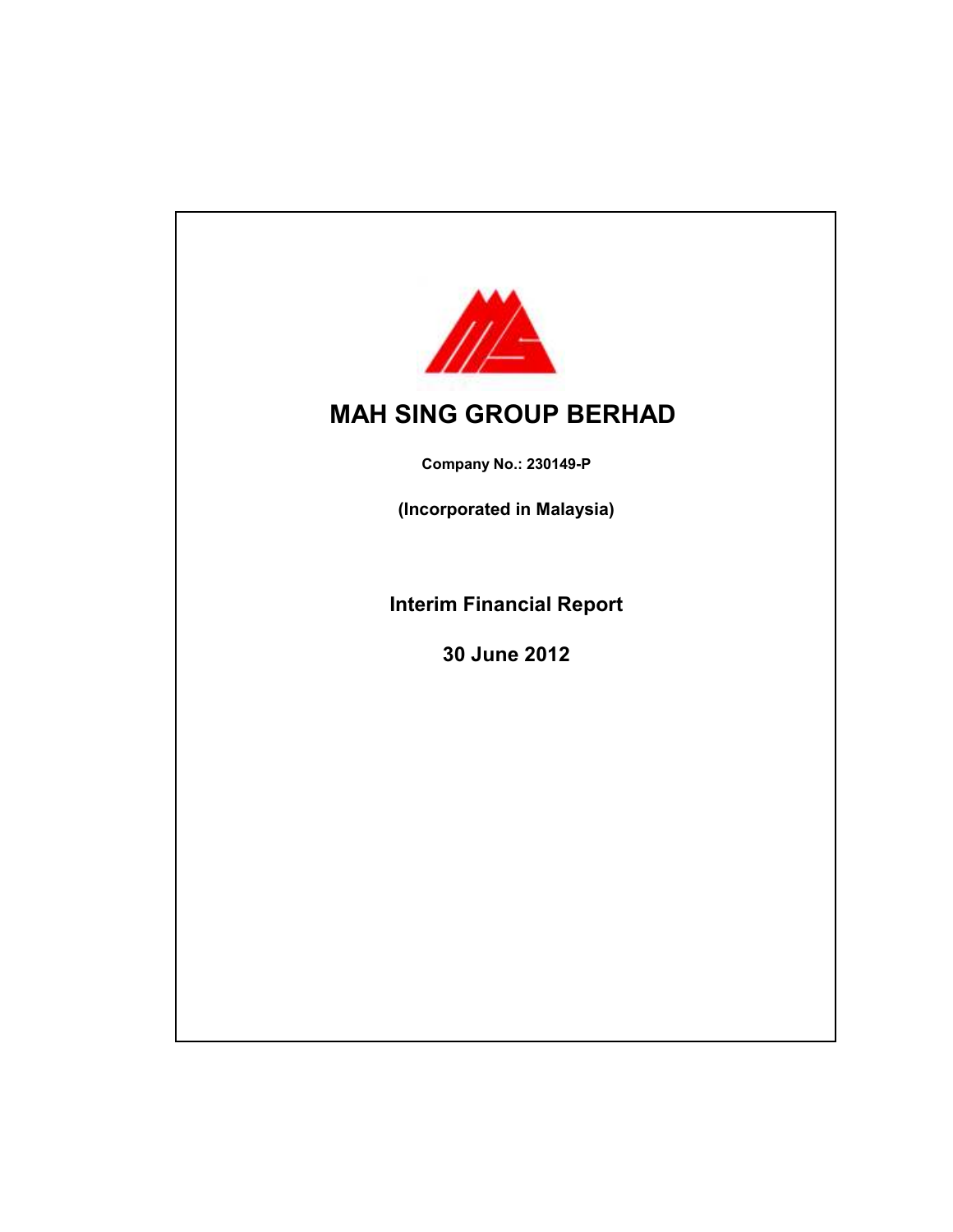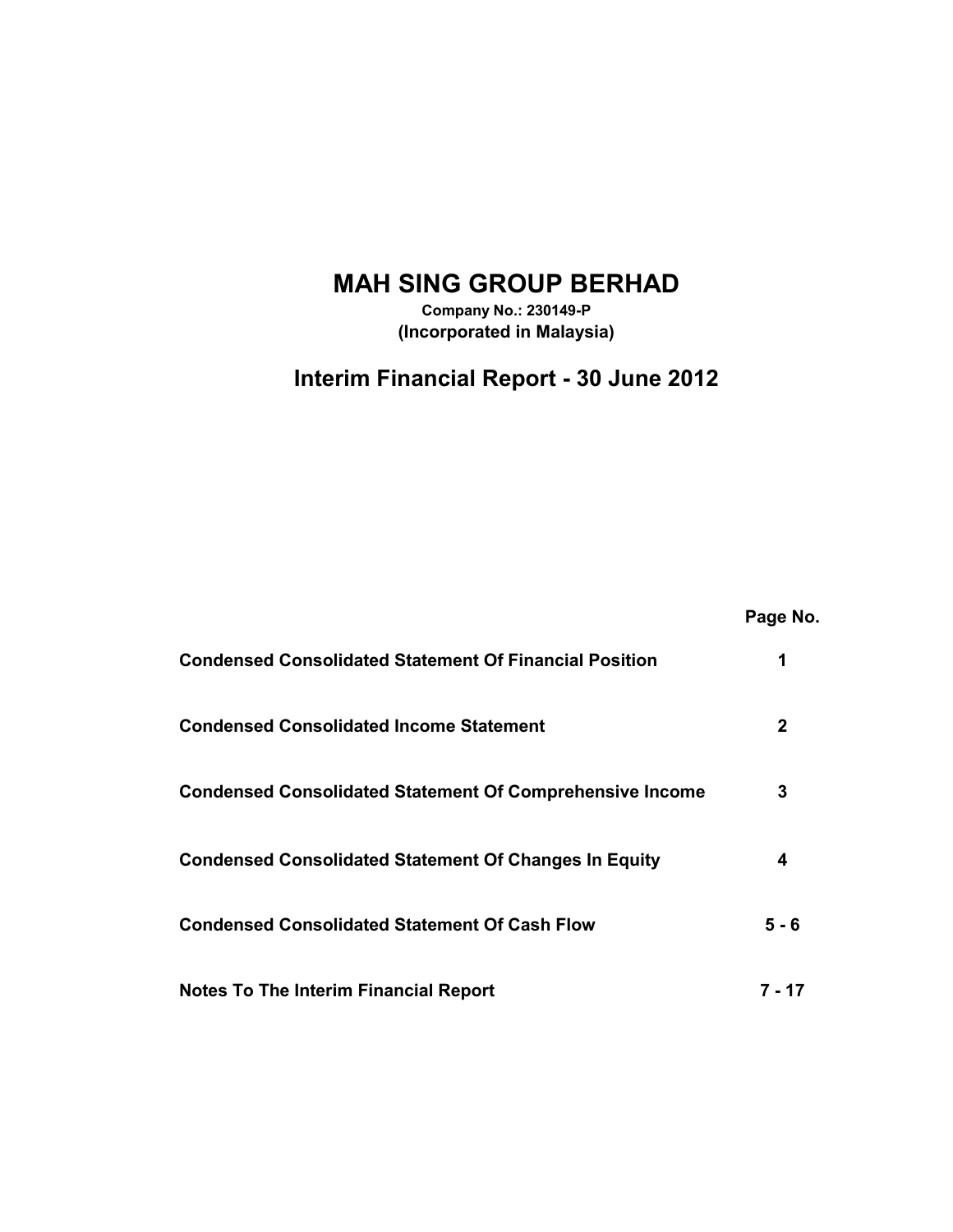# **MAH SING GROUP BERHAD**

**Company No.: 230149-P (Incorporated in Malaysia)**

# **Interim Financial Report - 30 June 2012**

|                                                                 | Page No. |
|-----------------------------------------------------------------|----------|
| <b>Condensed Consolidated Statement Of Financial Position</b>   | 1        |
| <b>Condensed Consolidated Income Statement</b>                  | 2        |
| <b>Condensed Consolidated Statement Of Comprehensive Income</b> | 3        |
| <b>Condensed Consolidated Statement Of Changes In Equity</b>    | 4        |
| <b>Condensed Consolidated Statement Of Cash Flow</b>            | 5 - 6    |
| <b>Notes To The Interim Financial Report</b>                    | 7 - 17   |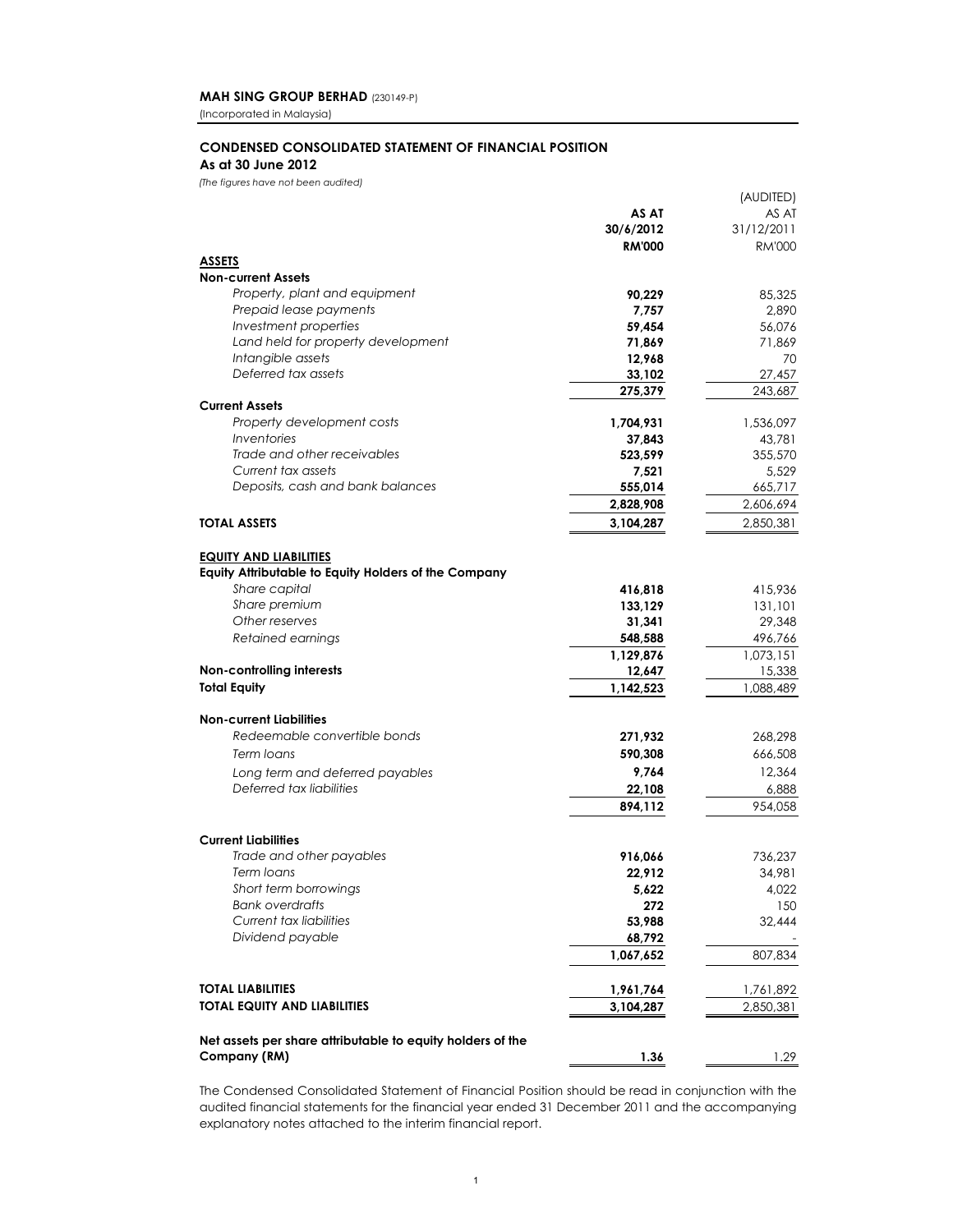(Incorporated in Malaysia)

# **CONDENSED CONSOLIDATED STATEMENT OF FINANCIAL POSITION**

## **As at 30 June 2012**

*(The figures have not been audited)*

|                                                            |               | (AUDITED)     |
|------------------------------------------------------------|---------------|---------------|
|                                                            | AS AT         | AS AT         |
|                                                            | 30/6/2012     | 31/12/2011    |
|                                                            | <b>RM'000</b> | <b>RM'000</b> |
| <b>ASSETS</b>                                              |               |               |
| <b>Non-current Assets</b>                                  |               |               |
| Property, plant and equipment                              | 90,229        | 85,325        |
| Prepaid lease payments                                     | 7,757         | 2,890         |
| Investment properties                                      | 59,454        | 56,076        |
| Land held for property development                         | 71,869        | 71,869        |
| Intangible assets                                          | 12,968        | 70            |
| Deferred tax assets                                        | 33,102        | 27,457        |
|                                                            | 275,379       | 243,687       |
| <b>Current Assets</b>                                      |               |               |
| Property development costs                                 | 1,704,931     | 1,536,097     |
| <i><u><b>Inventories</b></u></i>                           | 37,843        | 43,781        |
| Trade and other receivables                                | 523,599       | 355,570       |
| Current tax assets                                         | 7,521         | 5,529         |
| Deposits, cash and bank balances                           | 555,014       | 665,717       |
|                                                            | 2,828,908     | 2,606,694     |
|                                                            |               |               |
| <b>TOTAL ASSETS</b>                                        | 3,104,287     | 2,850,381     |
|                                                            |               |               |
| <b>EQUITY AND LIABILITIES</b>                              |               |               |
| Equity Attributable to Equity Holders of the Company       |               |               |
| Share capital                                              | 416,818       | 415,936       |
| Share premium                                              | 133,129       | 131,101       |
| Other reserves                                             | 31,341        | 29,348        |
| Retained earnings                                          | 548,588       | 496,766       |
|                                                            | 1,129,876     | 1,073,151     |
| Non-controlling interests                                  | 12,647        | 15,338        |
| <b>Total Equity</b>                                        | 1,142,523     | 1,088,489     |
|                                                            |               |               |
| <b>Non-current Liabilities</b>                             |               |               |
| Redeemable convertible bonds                               | 271,932       | 268,298       |
| Term loans                                                 | 590,308       | 666,508       |
| Long term and deferred payables                            | 9,764         | 12,364        |
| Deferred tax liabilities                                   | 22,108        | 6,888         |
|                                                            | 894,112       | 954,058       |
|                                                            |               |               |
| <b>Current Liabilities</b>                                 |               |               |
| Trade and other payables                                   | 916,066       | 736.237       |
| Term loans                                                 | 22,912        | 34,981        |
| Short term borrowings                                      | 5,622         | 4,022         |
| <b>Bank overdrafts</b>                                     | 272           | 150           |
| Current tax liabilities                                    | 53,988        | 32,444        |
| Dividend payable                                           | 68,792        |               |
|                                                            | 1,067,652     | 807,834       |
|                                                            |               |               |
| <b>TOTAL LIABILITIES</b>                                   | 1,961,764     | 1,761,892     |
| <b>TOTAL EQUITY AND LIABILITIES</b>                        | 3,104,287     | 2,850,381     |
|                                                            |               |               |
| Net assets per share attributable to equity holders of the |               |               |
| Company (RM)                                               | 1.36          | 1.29          |
|                                                            |               |               |

The Condensed Consolidated Statement of Financial Position should be read in conjunction with the audited financial statements for the financial year ended 31 December 2011 and the accompanying explanatory notes attached to the interim financial report.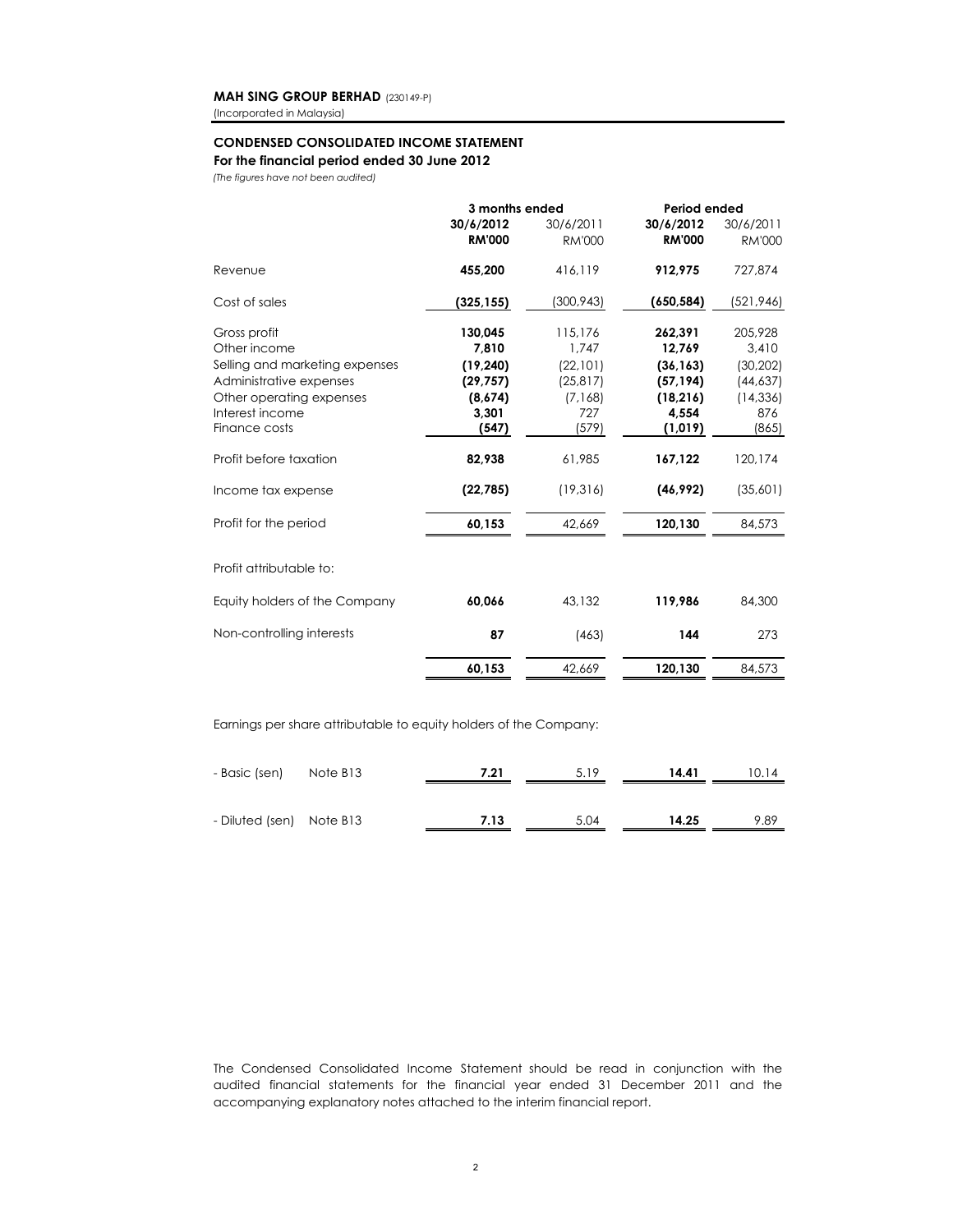(Incorporated in Malaysia)

#### **CONDENSED CONSOLIDATED INCOME STATEMENT**

#### **For the financial period ended 30 June 2012**

*(The figures have not been audited)*

|                                | 3 months ended |               | Period ended  |               |
|--------------------------------|----------------|---------------|---------------|---------------|
|                                | 30/6/2012      | 30/6/2011     | 30/6/2012     | 30/6/2011     |
|                                | <b>RM'000</b>  | <b>RM'000</b> | <b>RM'000</b> | <b>RM'000</b> |
| Revenue                        | 455,200        | 416,119       | 912,975       | 727,874       |
| Cost of sales                  | (325, 155)     | (300, 943)    | (650, 584)    | (521,946)     |
| Gross profit                   | 130,045        | 115,176       | 262,391       | 205,928       |
| Other income                   | 7.810          | 1.747         | 12,769        | 3,410         |
| Selling and marketing expenses | (19, 240)      | (22, 101)     | (36, 163)     | (30, 202)     |
| Administrative expenses        | (29, 757)      | (25, 817)     | (57, 194)     | (44, 637)     |
| Other operating expenses       | (8,674)        | (7, 168)      | (18, 216)     | (14, 336)     |
| Interest income                | 3,301          | 727           | 4.554         | 876           |
| Finance costs                  | (547)          | (579)         | (1,019)       | (865)         |
| Profit before taxation         | 82,938         | 61,985        | 167,122       | 120,174       |
| Income tax expense             | (22, 785)      | (19, 316)     | (46, 992)     | (35,601)      |
| Profit for the period          | 60,153         | 42.669        | 120,130       | 84,573        |
| Profit attributable to:        |                |               |               |               |
|                                |                |               |               |               |
| Equity holders of the Company  | 60,066         | 43,132        | 119,986       | 84,300        |
| Non-controlling interests      | 87             | (463)         | 144           | 273           |
|                                | 60,153         | 42,669        | 120,130       | 84,573        |
|                                |                |               |               |               |

Earnings per share attributable to equity holders of the Company:

| - Basic (sen) Note B13   | 7.21 | 5.19 | 14.41 | 10.14 |
|--------------------------|------|------|-------|-------|
|                          |      |      |       |       |
| - Diluted (sen) Note B13 | 7.13 | 5.04 | 14.25 | 9.89  |

The Condensed Consolidated Income Statement should be read in conjunction with the audited financial statements for the financial year ended 31 December 2011 and the accompanying explanatory notes attached to the interim financial report.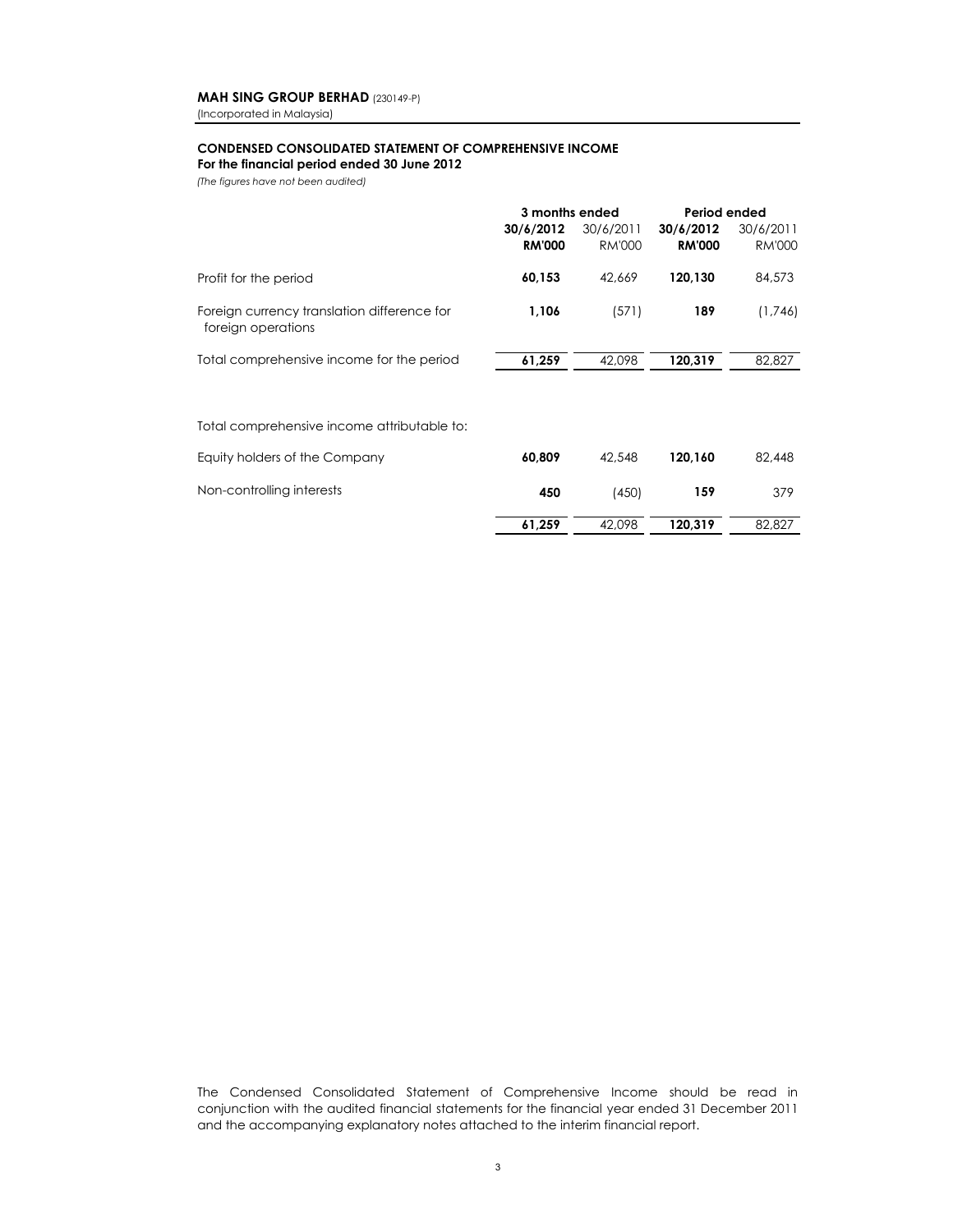(Incorporated in Malaysia)

#### **CONDENSED CONSOLIDATED STATEMENT OF COMPREHENSIVE INCOME For the financial period ended 30 June 2012**

*(The figures have not been audited)*

|                                                                   | 3 months ended<br>30/6/2012<br><b>RM'000</b> | 30/6/2011<br><b>RM'000</b> | Period ended<br>30/6/2012<br><b>RM'000</b> | 30/6/2011<br><b>RM'000</b> |
|-------------------------------------------------------------------|----------------------------------------------|----------------------------|--------------------------------------------|----------------------------|
| Profit for the period                                             | 60,153                                       | 42.669                     | 120,130                                    | 84,573                     |
| Foreign currency translation difference for<br>foreign operations | 1,106                                        | (571)                      | 189                                        | (1,746)                    |
| Total comprehensive income for the period                         | 61,259                                       | 42,098                     | 120,319                                    | 82,827                     |
| Total comprehensive income attributable to:                       |                                              |                            |                                            |                            |
| Equity holders of the Company                                     | 60,809                                       | 42,548                     | 120,160                                    | 82,448                     |
| Non-controlling interests                                         | 450                                          | (450)                      | 159                                        | 379                        |

 **61,259** 42,098 **120,319** 82,827

The Condensed Consolidated Statement of Comprehensive Income should be read in conjunction with the audited financial statements for the financial year ended 31 December 2011 and the accompanying explanatory notes attached to the interim financial report.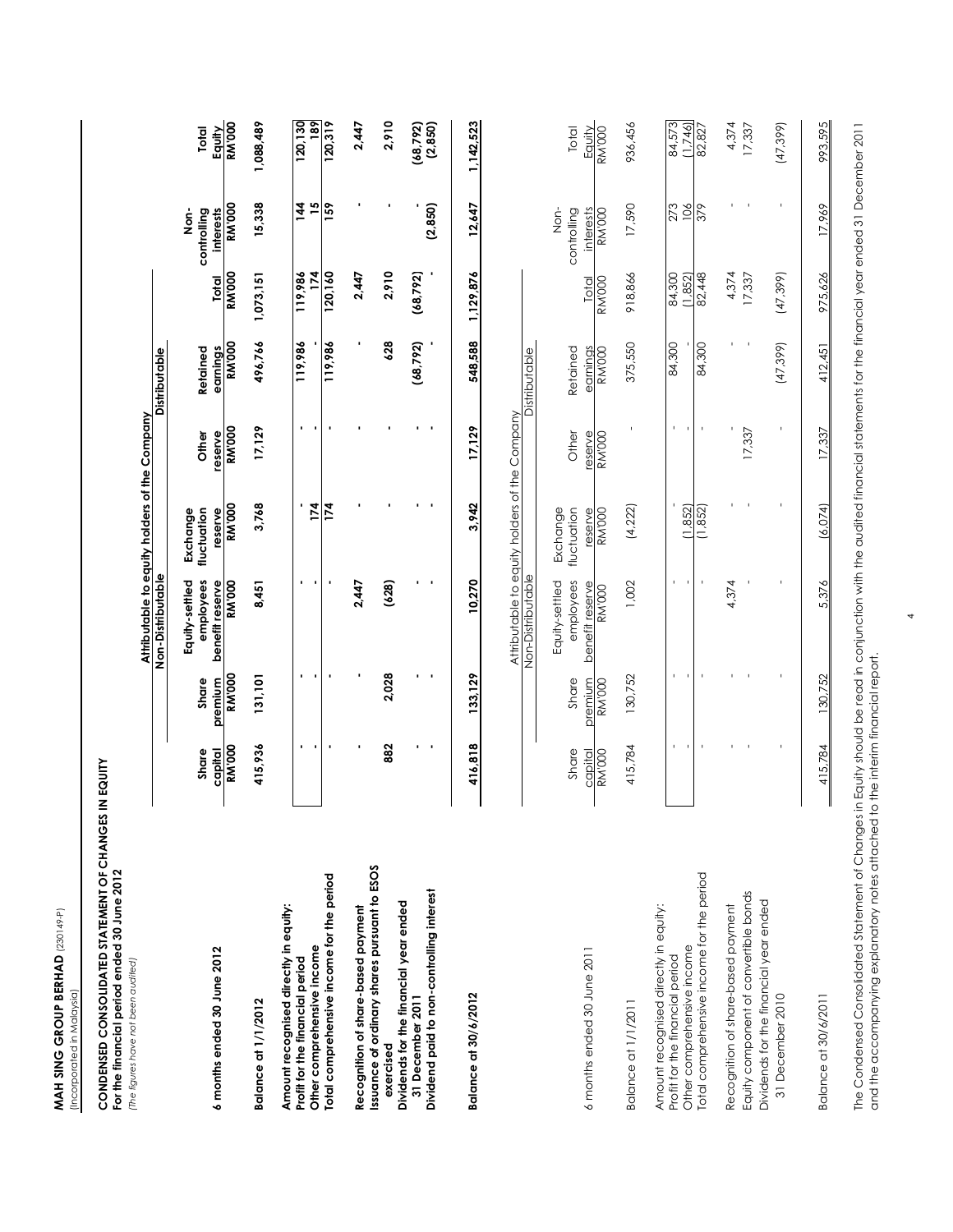MAH SING GROUP BERHAD (230149-P) **MAH SING GROUP BERHAD (230149-P)** (Incorporated in Malaysia) (Incorporated in Malaysia)

# CONDENSED CONSOLIDATED STATEMENT OF CHANGES IN EQUITY<br>For the financial period ended 30 June 2012<br>[The figures have not been audited] **CONDENSED CONSOLIDATED STATEMENT OF CHANGES IN EQUITY**

**For the financial period ended 30 June 2012** *(The figures have not been audited)*

|                                                                                                                                                     |                                   |                                   | Aftributable to equity holders of the Company                      |                                                     |                                   |                                       |                              |                                                   |                              |
|-----------------------------------------------------------------------------------------------------------------------------------------------------|-----------------------------------|-----------------------------------|--------------------------------------------------------------------|-----------------------------------------------------|-----------------------------------|---------------------------------------|------------------------------|---------------------------------------------------|------------------------------|
|                                                                                                                                                     |                                   |                                   | Non-Distributable                                                  |                                                     |                                   | Distributable                         |                              |                                                   |                              |
|                                                                                                                                                     | Share                             | Share                             | employees<br>Equity-settled                                        | fluctuation<br>Exchange                             | Other                             | Retained                              |                              | controlling<br><u>İ</u> on-                       | Total                        |
| 6 months ended 30 June 2012                                                                                                                         | <b>RM</b> '000<br>capital         | <b>RM'000</b><br>premium          | <b>RM</b> 000<br>benefit reserve                                   | <b>RM'000</b><br>reserve                            | <b>RM'000</b><br>reserve          | <b>RM'000</b><br>earnings             | <b>RM'000</b><br>Total       | <b>RM</b> '000<br><b>interests</b>                | <b>RM</b> 000<br>Equity      |
| Balance at 1/1/2012                                                                                                                                 | 415,936                           | 131,101                           | 8,451                                                              | 3,768                                               | 17,129                            | 496,766                               | 1,073,151                    | 15,338                                            | 1,088,489                    |
| Amount recognised directly in equity:<br>Other comprehensive income<br>Profit for the financial period                                              | ٠                                 |                                   |                                                                    | 174                                                 | ٠                                 | 119,986                               | 174<br>119,986               | $\overline{15}$<br>$\frac{14}{1}$                 | 120,130<br>189               |
| Total comprehensive income for the period                                                                                                           |                                   |                                   |                                                                    | $\overline{174}$                                    |                                   | 119,986                               | 120,160                      | 159                                               | 120,319                      |
| Recognition of share-based payment                                                                                                                  |                                   |                                   | 2,447                                                              |                                                     |                                   |                                       | 2,447                        |                                                   | 2,447                        |
| Issuance of ordinary shares pursuant to ESOS<br>exercised                                                                                           | 882                               | 2,028                             | (628)                                                              |                                                     |                                   | 628                                   | 2,910                        |                                                   | 2,910                        |
| Dividend paid to non-controlling interest<br>Dividends for the financial year ended<br>31 December 2011                                             |                                   |                                   |                                                                    |                                                     |                                   | (68, 792)                             | (68, 792)                    | (2, 850)                                          | (2,850)<br>(68, 792)         |
| Balance at 30/6/2012                                                                                                                                | 416,818                           | 133,129                           | 10,270                                                             | 3,942                                               | 17,129                            | 548,588                               | 1,129,876                    | 12,647                                            | 1,142,523                    |
|                                                                                                                                                     |                                   |                                   | Attributable to equity holders of the Company<br>Non-Distributable |                                                     |                                   | Distributable                         |                              |                                                   |                              |
| 6 months ended 30 June 2011                                                                                                                         | Share<br><b>RM'000</b><br>capital | Share<br>premium<br><b>RM'000</b> | employees<br>Equity-settled<br>benefit reserve<br><b>RM'000</b>    | fluctuation<br>Exchange<br>reserve<br><b>RM'000</b> | Other<br>reserve<br><b>RM'000</b> | Retained<br>earnings<br><b>BM'000</b> | <b>RM'000</b><br>Total       | controlling<br>interests<br><b>RM'000</b><br>mor- | Total<br>Equity<br>RM'000    |
| <b>Balance at 1/1/2011</b>                                                                                                                          | 415,784                           | 130,752                           | 1,002                                                              | (4,222)                                             |                                   | 375,550                               | 918,866                      | 17,590                                            | 936,456                      |
| Total comprehensive income for the period<br>Amount recognised directly in equity:<br>Other comprehensive income<br>Profit for the financial period | J.                                |                                   | ı.                                                                 | (1, 852)<br>(1, 852)                                | $\mathbf{I}$                      | 84,300<br>84,300                      | 84,300<br>82,448<br>(1, 852) | 273<br>106<br>379                                 | 84,573<br>(1, 746)<br>82,827 |
| Equity component of convertible bonds<br>Recognition of share-based payment                                                                         |                                   |                                   | 4,374                                                              |                                                     | 17,337                            |                                       | 4,374<br>17,337              |                                                   | 4,374<br>17,337              |
| Dividends for the financial year ended<br>31 December 2010                                                                                          |                                   |                                   |                                                                    |                                                     |                                   | (47, 399)                             | (47, 399)                    |                                                   | (47, 399)                    |
| Balance at 30/6/2011                                                                                                                                | 415,784                           | 130,752                           | 5,376                                                              | (6,074)                                             | 17,337                            | 412,451                               | 975,626                      | 17,969                                            | 993,595                      |

The Condensed Consolidated Statement of Changes in Equity should be read in conjunction with the audited financial statements for the financial year ended 31 December 2011<br>and the accompanying explanatory notes attached to The Condensed Consolidated Statement of Changes in Equity should be read in conjunction with the audited financial statements for the financial year ended 31 December 2011 and the accompanying explanatory notes attached to the interim financial report.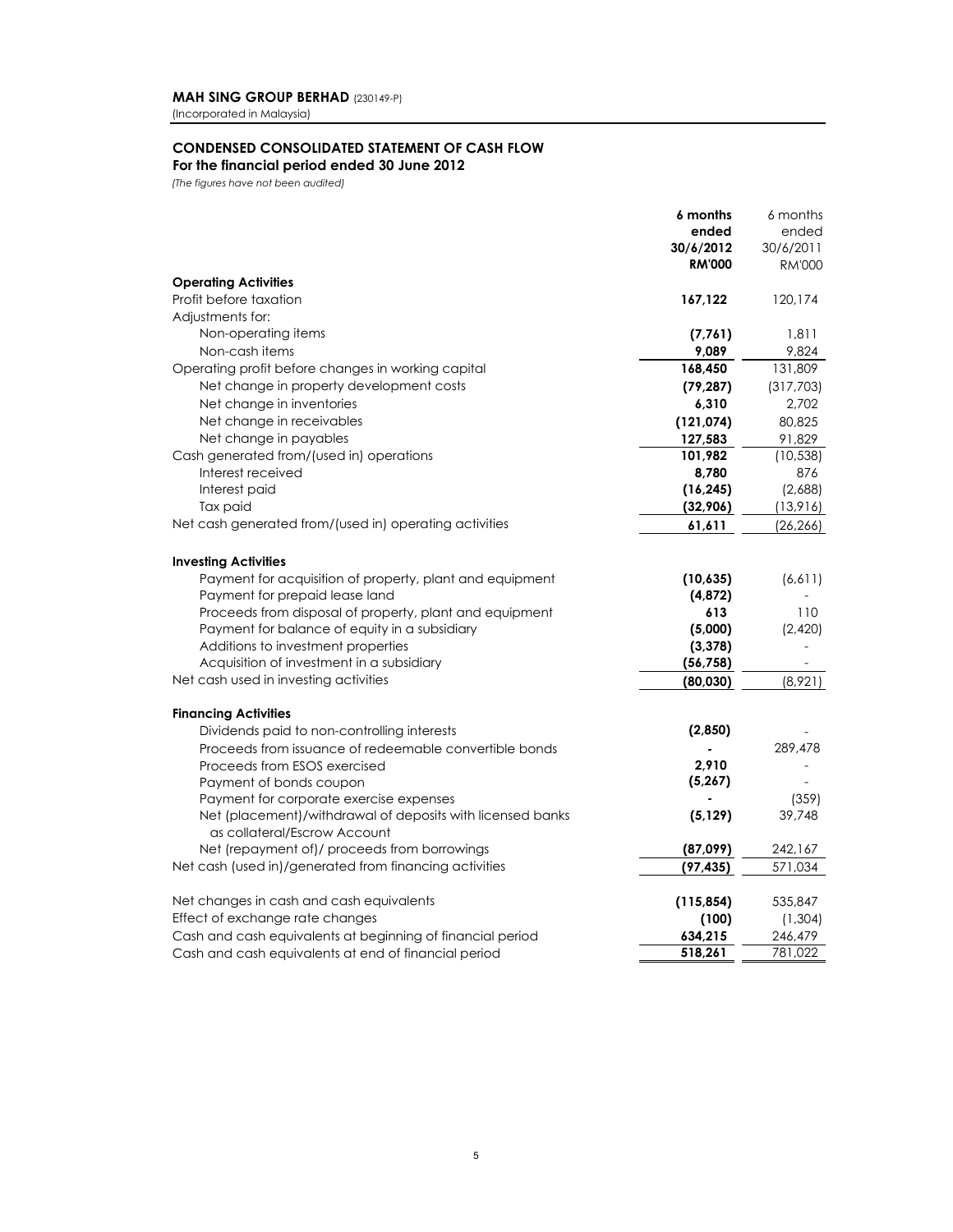(Incorporated in Malaysia)

# **CONDENSED CONSOLIDATED STATEMENT OF CASH FLOW For the financial period ended 30 June 2012**

*(The figures have not been audited)*

|                                                                            | 6 months      | 6 months      |
|----------------------------------------------------------------------------|---------------|---------------|
|                                                                            | ended         | ended         |
|                                                                            | 30/6/2012     | 30/6/2011     |
|                                                                            | <b>RM'000</b> | <b>RM'000</b> |
| <b>Operating Activities</b>                                                |               |               |
| Profit before taxation                                                     | 167,122       | 120,174       |
| Adjustments for:                                                           |               |               |
| Non-operating items                                                        | (7,761)       | 1,811         |
| Non-cash items                                                             | 9,089         | 9,824         |
| Operating profit before changes in working capital                         | 168,450       | 131,809       |
| Net change in property development costs                                   | (79, 287)     | (317,703)     |
| Net change in inventories                                                  | 6,310         | 2,702         |
| Net change in receivables                                                  | (121, 074)    | 80,825        |
| Net change in payables                                                     | 127,583       | 91,829        |
| Cash generated from/(used in) operations                                   | 101.982       | (10, 538)     |
| Interest received                                                          | 8,780         | 876           |
| Interest paid                                                              | (16, 245)     | (2,688)       |
| Tax paid                                                                   | (32,906)      | (13,916)      |
| Net cash generated from/(used in) operating activities                     | 61,611        | (26, 266)     |
| <b>Investing Activities</b>                                                |               |               |
| Payment for acquisition of property, plant and equipment                   | (10, 635)     | (6,611)       |
| Payment for prepaid lease land                                             | (4,872)       |               |
| Proceeds from disposal of property, plant and equipment                    | 613           | 110           |
| Payment for balance of equity in a subsidiary                              | (5,000)       | (2,420)       |
| Additions to investment properties                                         | (3, 378)      |               |
| Acquisition of investment in a subsidiary                                  | (56, 758)     |               |
| Net cash used in investing activities                                      | (80,030)      | (8,921)       |
|                                                                            |               |               |
| <b>Financing Activities</b><br>Dividends paid to non-controlling interests | (2,850)       |               |
|                                                                            |               |               |
| Proceeds from issuance of redeemable convertible bonds                     | 2.910         | 289,478       |
| Proceeds from ESOS exercised                                               | (5, 267)      |               |
| Payment of bonds coupon<br>Payment for corporate exercise expenses         |               | (359)         |
| Net (placement)/withdrawal of deposits with licensed banks                 | (5, 129)      | 39,748        |
| as collateral/Escrow Account                                               |               |               |
| Net (repayment of)/ proceeds from borrowings                               | (87,099)      | 242,167       |
| Net cash (used in)/generated from financing activities                     | (97, 435)     | 571,034       |
| Net changes in cash and cash equivalents                                   | (115, 854)    | 535,847       |
| Effect of exchange rate changes                                            | (100)         | (1, 304)      |
| Cash and cash equivalents at beginning of financial period                 | 634,215       | 246,479       |
| Cash and cash equivalents at end of financial period                       | 518,261       | 781,022       |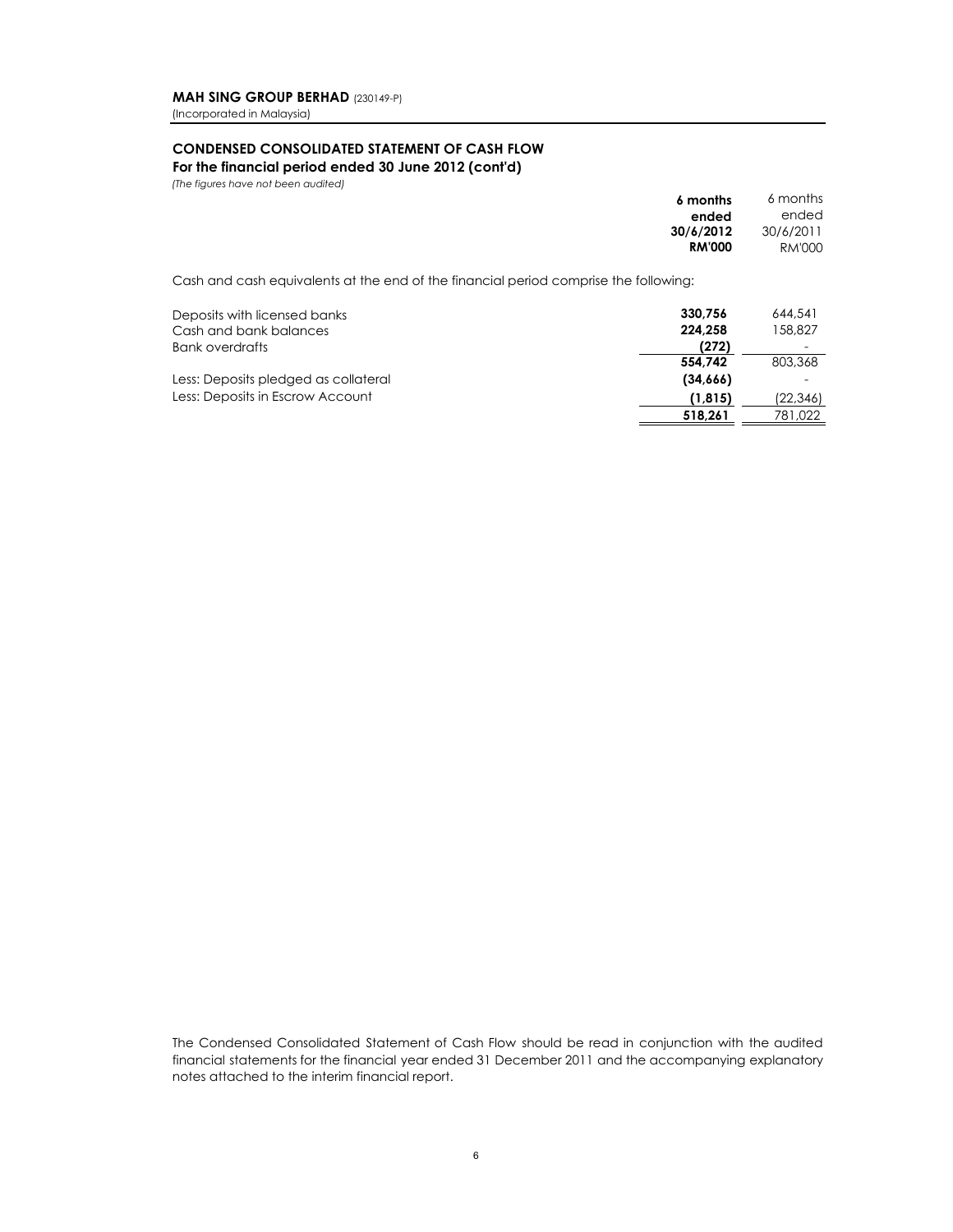(Incorporated in Malaysia)

# **CONDENSED CONSOLIDATED STATEMENT OF CASH FLOW For the financial period ended 30 June 2012 (cont'd)**

*(The figures have not been audited)* 

|                                                                                      | 6 months      | 6 months  |
|--------------------------------------------------------------------------------------|---------------|-----------|
|                                                                                      | ended         | ended     |
|                                                                                      | 30/6/2012     | 30/6/2011 |
|                                                                                      | <b>RM'000</b> | RM'000    |
| Cash and cash equivalents at the end of the financial period comprise the following: |               |           |
| Deposits with licensed banks                                                         | 330.756       | 644,541   |
| Cash and bank balances                                                               | 224.258       | 158,827   |
| <b>Bank overdrafts</b>                                                               | (272)         |           |
|                                                                                      | 554.742       | 803,368   |
| Less: Deposits pledged as collateral                                                 | (34,666)      |           |
| Less: Deposits in Escrow Account                                                     | (1, 815)      | (22,346)  |
|                                                                                      | 518.261       | 781.022   |

The Condensed Consolidated Statement of Cash Flow should be read in conjunction with the audited financial statements for the financial year ended 31 December 2011 and the accompanying explanatory notes attached to the interim financial report.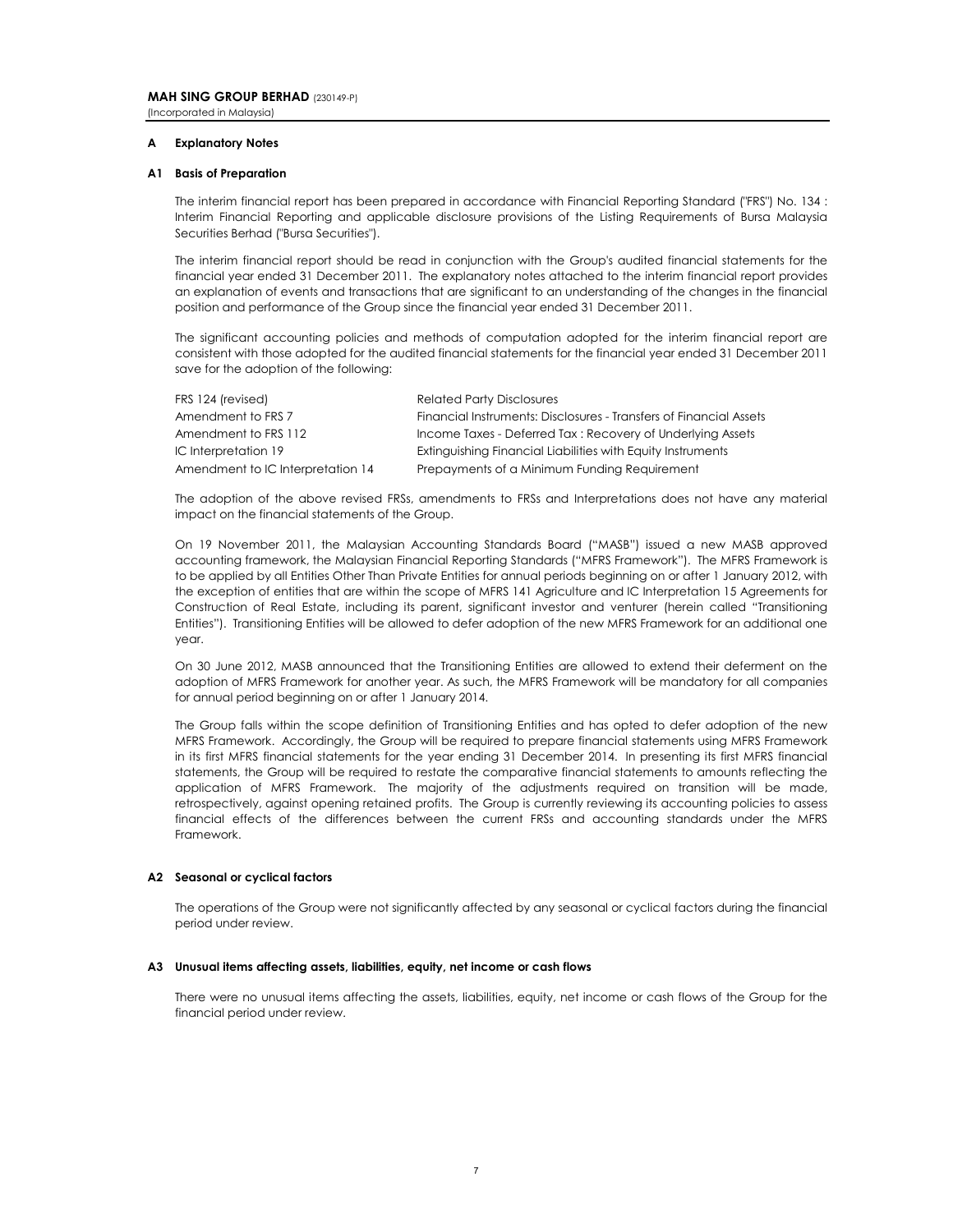#### **Explanatory Notes**

#### **A1 Basis of Preparation**

The interim financial report has been prepared in accordance with Financial Reporting Standard ("FRS") No. 134 : Interim Financial Reporting and applicable disclosure provisions of the Listing Requirements of Bursa Malaysia Securities Berhad ("Bursa Securities").

The interim financial report should be read in conjunction with the Group's audited financial statements for the financial year ended 31 December 2011. The explanatory notes attached to the interim financial report provides an explanation of events and transactions that are significant to an understanding of the changes in the financial position and performance of the Group since the financial year ended 31 December 2011.

The significant accounting policies and methods of computation adopted for the interim financial report are consistent with those adopted for the audited financial statements for the financial year ended 31 December 2011 save for the adoption of the following:

| FRS 124 (revised)                 | <b>Related Party Disclosures</b>                                   |
|-----------------------------------|--------------------------------------------------------------------|
| Amendment to FRS 7                | Financial Instruments: Disclosures - Transfers of Financial Assets |
| Amendment to FRS 112              | Income Taxes - Deferred Tax: Recovery of Underlying Assets         |
| IC Interpretation 19              | Extinguishing Financial Liabilities with Equity Instruments        |
| Amendment to IC Interpretation 14 | Prepayments of a Minimum Funding Requirement                       |

The adoption of the above revised FRSs, amendments to FRSs and Interpretations does not have any material impact on the financial statements of the Group.

On 19 November 2011, the Malaysian Accounting Standards Board ("MASB") issued a new MASB approved accounting framework, the Malaysian Financial Reporting Standards ("MFRS Framework"). The MFRS Framework is to be applied by all Entities Other Than Private Entities for annual periods beginning on or after 1 January 2012, with the exception of entities that are within the scope of MFRS 141 Agriculture and IC Interpretation 15 Agreements for Construction of Real Estate, including its parent, significant investor and venturer (herein called "Transitioning Entities"). Transitioning Entities will be allowed to defer adoption of the new MFRS Framework for an additional one year.

On 30 June 2012, MASB announced that the Transitioning Entities are allowed to extend their deferment on the adoption of MFRS Framework for another year. As such, the MFRS Framework will be mandatory for all companies for annual period beginning on or after 1 January 2014.

The Group falls within the scope definition of Transitioning Entities and has opted to defer adoption of the new MFRS Framework. Accordingly, the Group will be required to prepare financial statements using MFRS Framework in its first MFRS financial statements for the year ending 31 December 2014. In presenting its first MFRS financial statements, the Group will be required to restate the comparative financial statements to amounts reflecting the application of MFRS Framework. The majority of the adjustments required on transition will be made, retrospectively, against opening retained profits. The Group is currently reviewing its accounting policies to assess financial effects of the differences between the current FRSs and accounting standards under the MFRS Framework.

#### **A2 Seasonal or cyclical factors**

The operations of the Group were not significantly affected by any seasonal or cyclical factors during the financial period under review.

#### **A3 Unusual items affecting assets, liabilities, equity, net income or cash flows**

There were no unusual items affecting the assets, liabilities, equity, net income or cash flows of the Group for the financial period under review.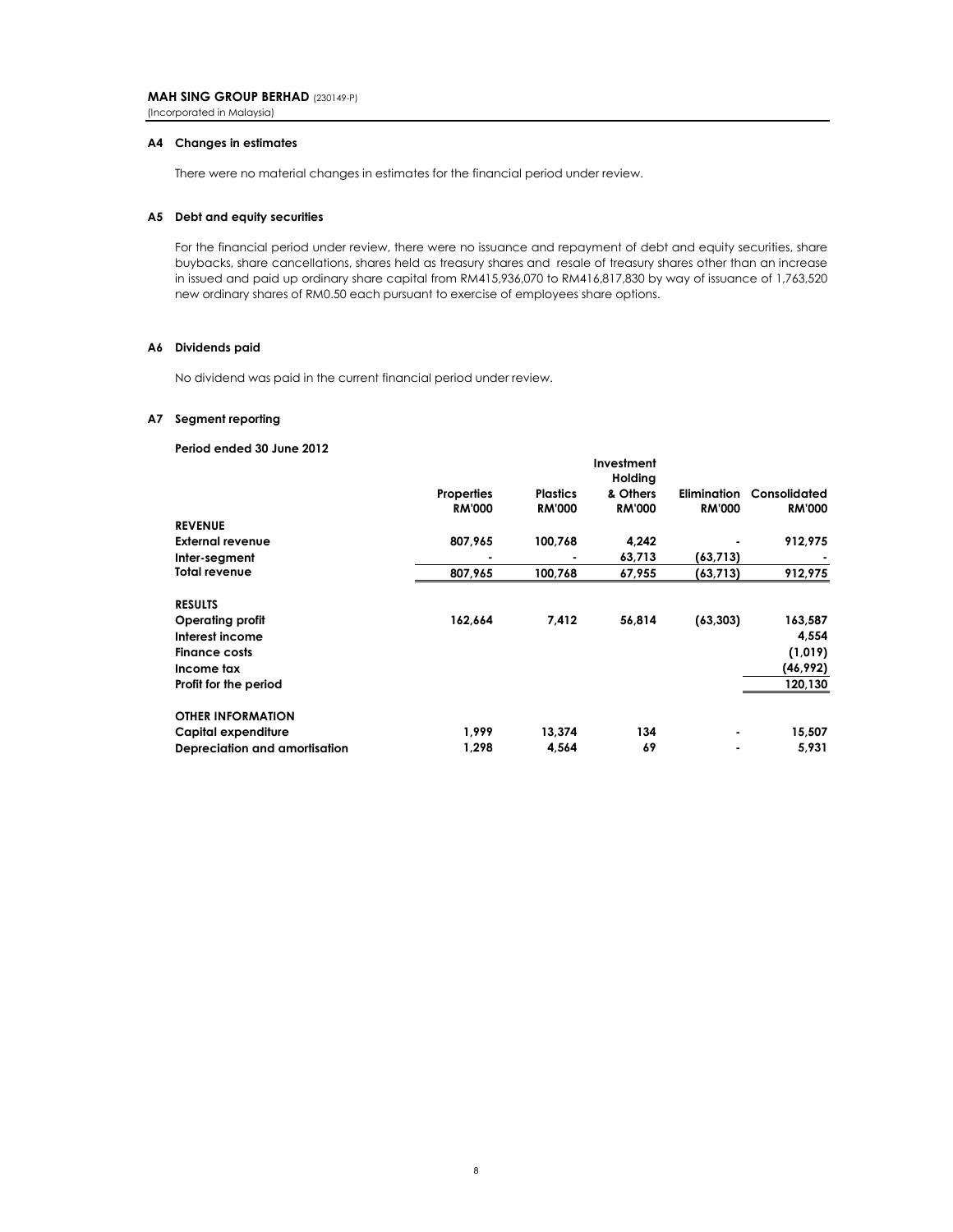(Incorporated in Malaysia)

#### **A4 Changes in estimates**

There were no material changes in estimates for the financial period under review.

#### **A5 Debt and equity securities**

For the financial period under review, there were no issuance and repayment of debt and equity securities, share buybacks, share cancellations, shares held as treasury shares and resale of treasury shares other than an increase in issued and paid up ordinary share capital from RM415,936,070 to RM416,817,830 by way of issuance of 1,763,520 new ordinary shares of RM0.50 each pursuant to exercise of employees share options.

#### **A6 Dividends paid**

No dividend was paid in the current financial period under review.

#### **A7 Segment reporting**

#### **Period ended 30 June 2012**

|                               |                   |                 | Investment<br>Holding |               |               |
|-------------------------------|-------------------|-----------------|-----------------------|---------------|---------------|
|                               | <b>Properties</b> | <b>Plastics</b> | & Others              | Elimination   | Consolidated  |
|                               | <b>RM'000</b>     | <b>RM'000</b>   | <b>RM'000</b>         | <b>RM'000</b> | <b>RM'000</b> |
| <b>REVENUE</b>                |                   |                 |                       |               |               |
| <b>External revenue</b>       | 807,965           | 100,768         | 4,242                 |               | 912,975       |
| Inter-segment                 |                   |                 | 63,713                | (63, 713)     |               |
| <b>Total revenue</b>          | 807,965           | 100,768         | 67,955                | (63,713)      | 912,975       |
| <b>RESULTS</b>                |                   |                 |                       |               |               |
| <b>Operating profit</b>       | 162,664           | 7,412           | 56,814                | (63, 303)     | 163,587       |
| Interest income               |                   |                 |                       |               | 4,554         |
| <b>Finance costs</b>          |                   |                 |                       |               | (1,019)       |
| Income tax                    |                   |                 |                       |               | (46, 992)     |
| Profit for the period         |                   |                 |                       |               | 120,130       |
| <b>OTHER INFORMATION</b>      |                   |                 |                       |               |               |
| Capital expenditure           | 1.999             | 13,374          | 134                   |               | 15,507        |
| Depreciation and amortisation | 1,298             | 4,564           | 69                    |               | 5,931         |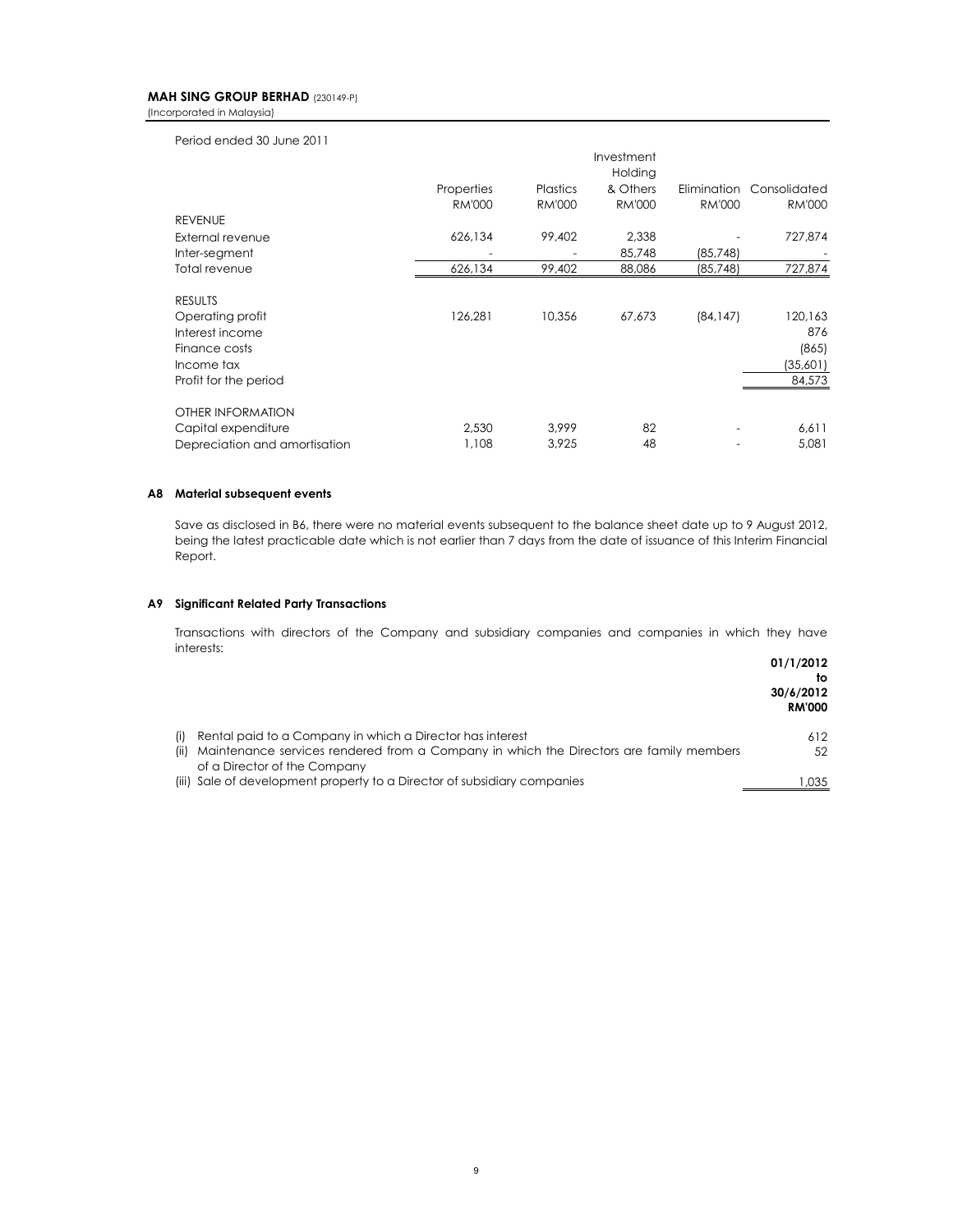(Incorporated in Malaysia)

Period ended 30 June 2011

|                               |               |                 | Investment<br>Holding |               |               |
|-------------------------------|---------------|-----------------|-----------------------|---------------|---------------|
|                               | Properties    | <b>Plastics</b> | & Others              | Elimination   | Consolidated  |
|                               | <b>RM'000</b> | <b>RM'000</b>   | <b>RM'000</b>         | <b>RM'000</b> | <b>RM'000</b> |
| <b>REVENUE</b>                |               |                 |                       |               |               |
| External revenue              | 626,134       | 99,402          | 2,338                 |               | 727,874       |
| Inter-segment                 |               |                 | 85,748                | (85, 748)     |               |
| Total revenue                 | 626,134       | 99,402          | 88,086                | (85, 748)     | 727,874       |
| <b>RESULTS</b>                |               |                 |                       |               |               |
| Operating profit              | 126,281       | 10,356          | 67,673                | (84, 147)     | 120,163       |
| Interest income               |               |                 |                       |               | 876           |
| Finance costs                 |               |                 |                       |               | (865)         |
| Income tax                    |               |                 |                       |               | (35,601)      |
| Profit for the period         |               |                 |                       |               | 84,573        |
| OTHER INFORMATION             |               |                 |                       |               |               |
| Capital expenditure           | 2,530         | 3.999           | 82                    |               | 6,611         |
| Depreciation and amortisation | 1,108         | 3.925           | 48                    |               | 5,081         |

#### **A8 Material subsequent events**

Save as disclosed in B6, there were no material events subsequent to the balance sheet date up to 9 August 2012, being the latest practicable date which is not earlier than 7 days from the date of issuance of this Interim Financial Report.

#### **A9 Significant Related Party Transactions**

Transactions with directors of the Company and subsidiary companies and companies in which they have interests:

|                                                                                             | 01/1/2012<br>to<br>30/6/2012<br><b>RM'000</b> |
|---------------------------------------------------------------------------------------------|-----------------------------------------------|
| (i) Rental paid to a Company in which a Director has interest                               | 612                                           |
| (ii) Maintenance services rendered from a Company in which the Directors are family members | 52                                            |
| of a Director of the Company                                                                |                                               |
| (iii) Sale of development property to a Director of subsidiary companies                    | .035                                          |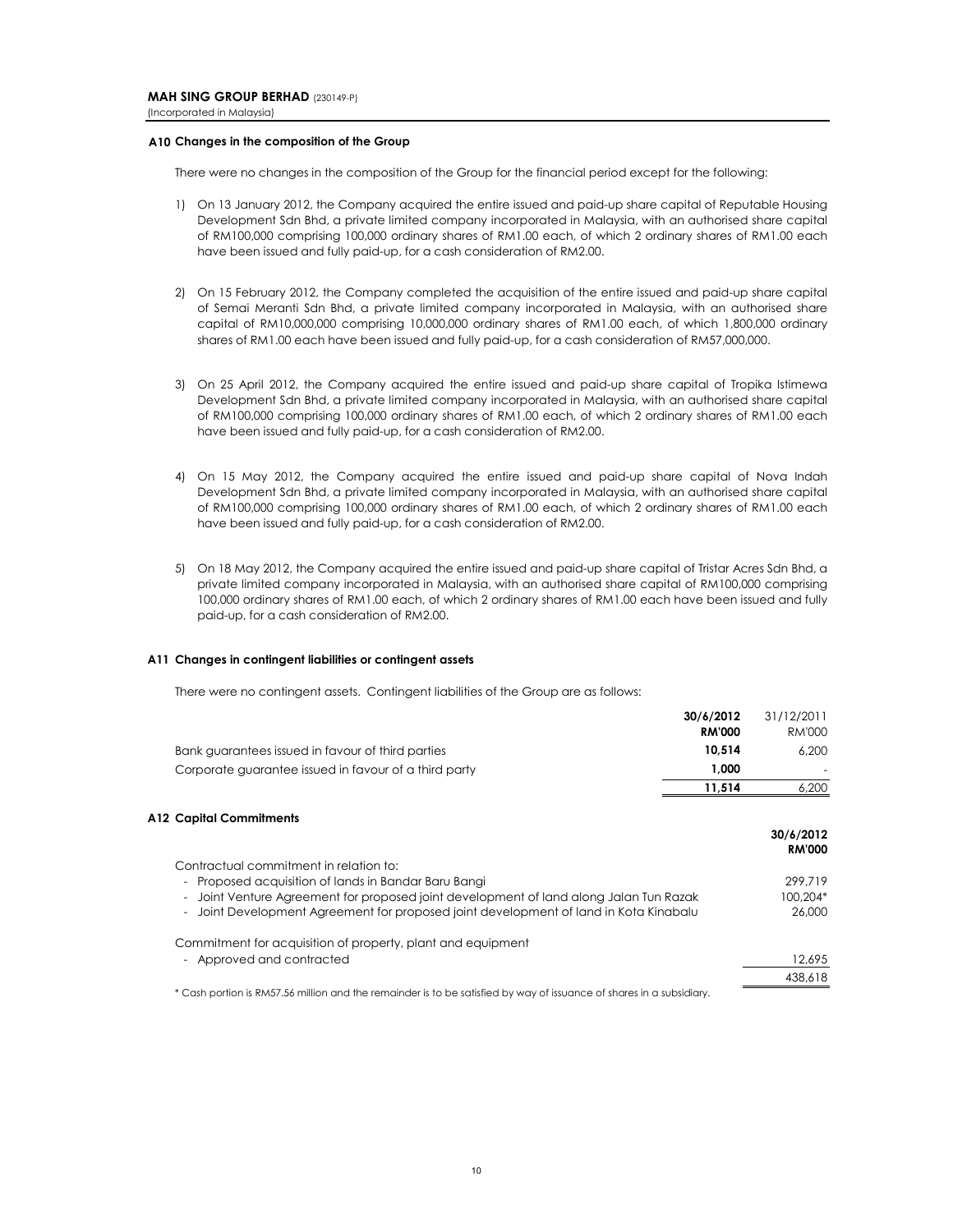#### **A10 Changes in the composition of the Group**

There were no changes in the composition of the Group for the financial period except for the following:

- 1) On 13 January 2012, the Company acquired the entire issued and paid-up share capital of Reputable Housing Development Sdn Bhd, a private limited company incorporated in Malaysia, with an authorised share capital of RM100,000 comprising 100,000 ordinary shares of RM1.00 each, of which 2 ordinary shares of RM1.00 each have been issued and fully paid-up, for a cash consideration of RM2.00.
- 2) On 15 February 2012, the Company completed the acquisition of the entire issued and paid-up share capital of Semai Meranti Sdn Bhd, a private limited company incorporated in Malaysia, with an authorised share capital of RM10,000,000 comprising 10,000,000 ordinary shares of RM1.00 each, of which 1,800,000 ordinary shares of RM1.00 each have been issued and fully paid-up, for a cash consideration of RM57,000,000.
- 3) On 25 April 2012, the Company acquired the entire issued and paid-up share capital of Tropika Istimewa Development Sdn Bhd, a private limited company incorporated in Malaysia, with an authorised share capital of RM100,000 comprising 100,000 ordinary shares of RM1.00 each, of which 2 ordinary shares of RM1.00 each have been issued and fully paid-up, for a cash consideration of RM2.00.
- 4) On 15 May 2012, the Company acquired the entire issued and paid-up share capital of Nova Indah Development Sdn Bhd, a private limited company incorporated in Malaysia, with an authorised share capital of RM100,000 comprising 100,000 ordinary shares of RM1.00 each, of which 2 ordinary shares of RM1.00 each have been issued and fully paid-up, for a cash consideration of RM2.00.
- 5) On 18 May 2012, the Company acquired the entire issued and paid-up share capital of Tristar Acres Sdn Bhd, a private limited company incorporated in Malaysia, with an authorised share capital of RM100,000 comprising 100,000 ordinary shares of RM1.00 each, of which 2 ordinary shares of RM1.00 each have been issued and fully paid-up, for a cash consideration of RM2.00.

#### **A11 Changes in contingent liabilities or contingent assets**

There were no contingent assets. Contingent liabilities of the Group are as follows:

|                                                                                                                      | 30/6/2012<br><b>RM'000</b> | 31/12/2011<br>RM'000       |
|----------------------------------------------------------------------------------------------------------------------|----------------------------|----------------------------|
| Bank guarantees issued in favour of third parties                                                                    | 10,514                     | 6.200                      |
| Corporate guarantee issued in favour of a third party                                                                | 1,000                      |                            |
|                                                                                                                      | 11,514                     | 6,200                      |
| <b>A12 Capital Commitments</b>                                                                                       |                            |                            |
|                                                                                                                      |                            | 30/6/2012<br><b>RM'000</b> |
| Contractual commitment in relation to:                                                                               |                            |                            |
| Proposed acquisition of lands in Bandar Baru Bangi<br>$\sim$                                                         |                            | 299.719                    |
| Joint Venture Agreement for proposed joint development of land along Jalan Tun Razak<br>$\blacksquare$               |                            | 100,204*                   |
| Joint Development Agreement for proposed joint development of land in Kota Kinabalu                                  |                            | 26,000                     |
| Commitment for acquisition of property, plant and equipment                                                          |                            |                            |
| - Approved and contracted                                                                                            |                            | 12,695                     |
|                                                                                                                      |                            | 438,618                    |
| * Cash portion is RM57.56 million and the remainder is to be satisfied by way of issuance of shares in a subsidiary. |                            |                            |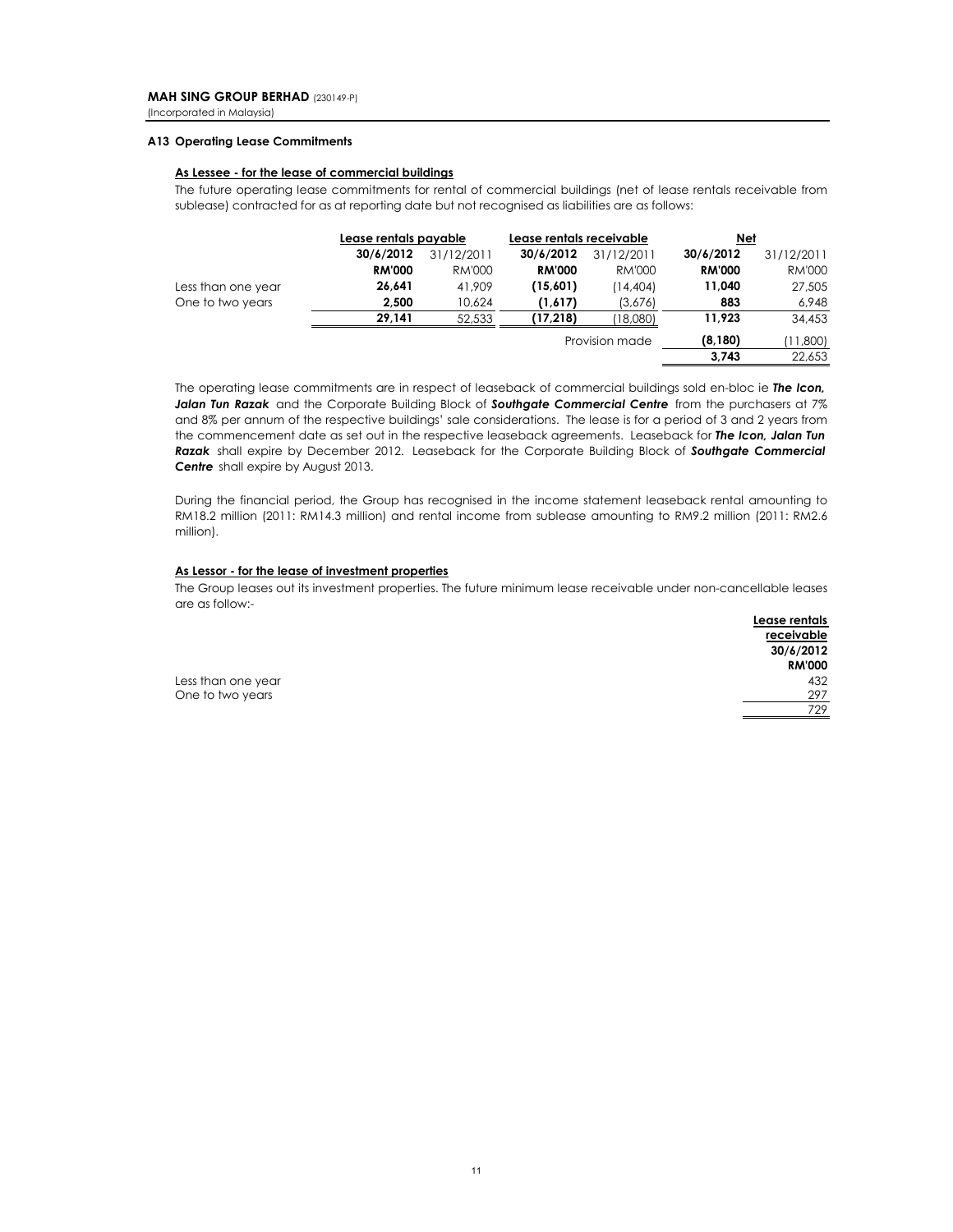#### **A13 Operating Lease Commitments**

#### **As Lessee - for the lease of commercial buildings**

The future operating lease commitments for rental of commercial buildings (net of lease rentals receivable from sublease) contracted for as at reporting date but not recognised as liabilities are as follows:

|                    | Lease rentals payable |            | Lease rentals receivable |                | Net           |               |
|--------------------|-----------------------|------------|--------------------------|----------------|---------------|---------------|
|                    | 30/6/2012             | 31/12/2011 | 30/6/2012                | 31/12/2011     | 30/6/2012     | 31/12/2011    |
|                    | <b>RM'000</b>         | RM'000     | <b>RM'000</b>            | RM'000         | <b>RM'000</b> | <b>RM'000</b> |
| Less than one year | 26.641                | 41.909     | (15,601)                 | (14,404)       | 11,040        | 27,505        |
| One to two years   | 2,500                 | 10,624     | (1,617)                  | (3,676)        | 883           | 6,948         |
|                    | 29.141                | 52,533     | (17, 218)                | 18,080         | 11,923        | 34,453        |
|                    |                       |            |                          | Provision made | (8, 180)      | (11,800)      |
|                    |                       |            |                          |                | 3.743         | 22.653        |

The operating lease commitments are in respect of leaseback of commercial buildings sold en-bloc ie *The Icon, Jalan Tun Razak* and the Corporate Building Block of *Southgate Commercial Centre* from the purchasers at 7% and 8% per annum of the respective buildings' sale considerations. The lease is for a period of 3 and 2 years from the commencement date as set out in the respective leaseback agreements. Leaseback for *The Icon, Jalan Tun Razak* shall expire by December 2012. Leaseback for the Corporate Building Block of *Southgate Commercial Centre* shall expire by August 2013.

During the financial period, the Group has recognised in the income statement leaseback rental amounting to RM18.2 million (2011: RM14.3 million) and rental income from sublease amounting to RM9.2 million (2011: RM2.6 million).

### **As Lessor - for the lease of investment properties**

The Group leases out its investment properties. The future minimum lease receivable under non-cancellable leases are as follow:-

|                    | Lease rentals |
|--------------------|---------------|
|                    | receivable    |
|                    | 30/6/2012     |
|                    | <b>RM'000</b> |
| Less than one year | 432           |
| One to two years   | 297           |
|                    | 729           |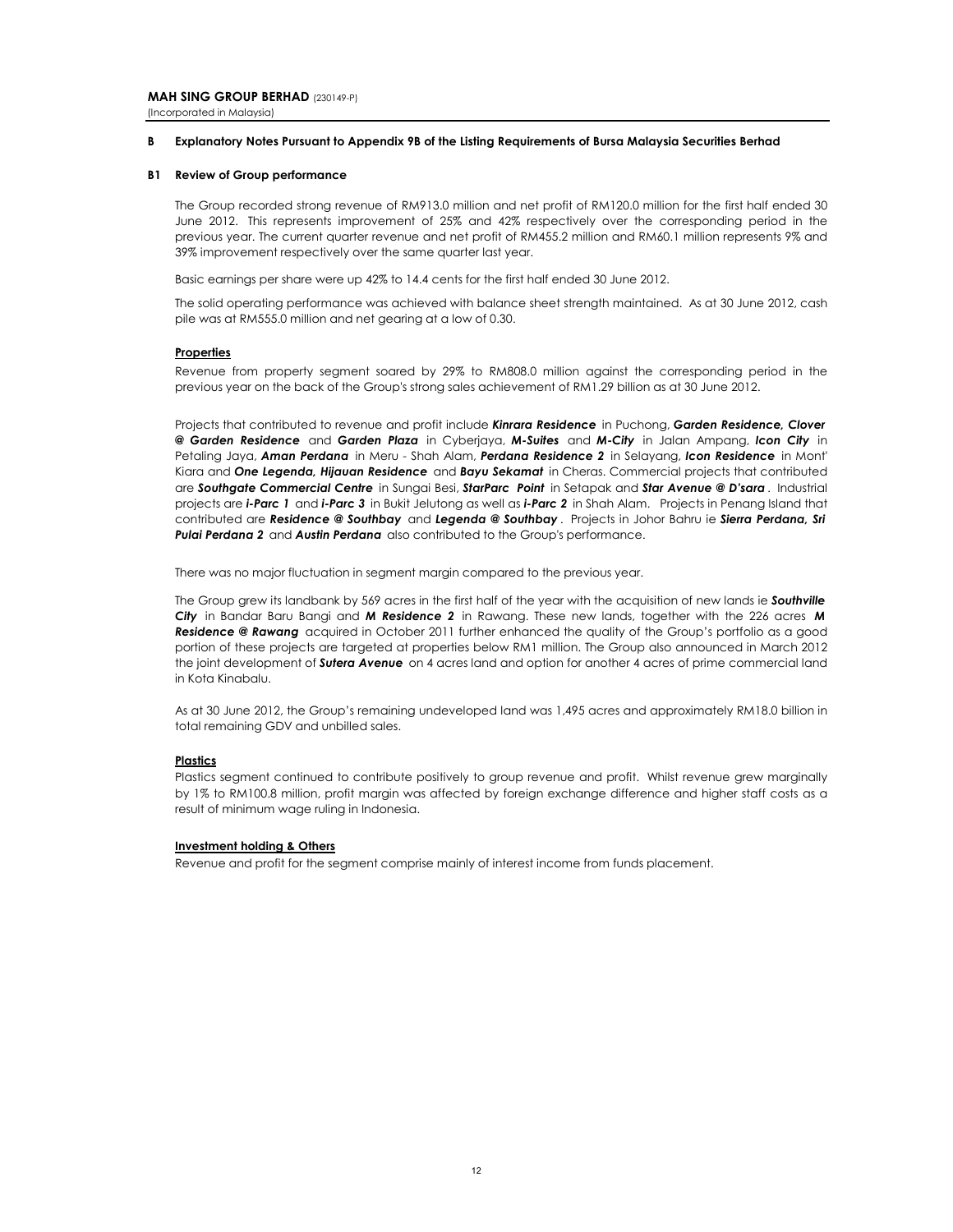(Incorporated in Malaysia)

#### **B Explanatory Notes Pursuant to Appendix 9B of the Listing Requirements of Bursa Malaysia Securities Berhad**

#### **B1 Review of Group performance**

The Group recorded strong revenue of RM913.0 million and net profit of RM120.0 million for the first half ended 30 June 2012. This represents improvement of 25% and 42% respectively over the corresponding period in the previous year. The current quarter revenue and net profit of RM455.2 million and RM60.1 million represents 9% and 39% improvement respectively over the same quarter last year.

Basic earnings per share were up 42% to 14.4 cents for the first half ended 30 June 2012.

The solid operating performance was achieved with balance sheet strength maintained. As at 30 June 2012, cash pile was at RM555.0 million and net gearing at a low of 0.30.

#### **Properties**

Revenue from property segment soared by 29% to RM808.0 million against the corresponding period in the previous year on the back of the Group's strong sales achievement of RM1.29 billion as at 30 June 2012.

Projects that contributed to revenue and profit include *Kinrara Residence* in Puchong, *Garden Residence, Clover @ Garden Residence* and *Garden Plaza* in Cyberjaya, *M-Suites* and *M-City* in Jalan Ampang, *Icon City* in Petaling Jaya, *Aman Perdana* in Meru - Shah Alam, *Perdana Residence 2* in Selayang, *Icon Residence* in Mont' Kiara and *One Legenda, Hijauan Residence* and *Bayu Sekamat* in Cheras. Commercial projects that contributed are *Southgate Commercial Centre* in Sungai Besi, *StarParc Point* in Setapak and *Star Avenue @ D'sara* . Industrial projects are *i-Parc 1* and *i-Parc 3* in Bukit Jelutong as well as *i-Parc 2* in Shah Alam. Projects in Penang Island that contributed are *Residence @ Southbay* and *Legenda @ Southbay* . Projects in Johor Bahru ie *Sierra Perdana, Sri* **Pulai Perdana 2** and **Austin Perdana** also contributed to the Group's performance.

There was no major fluctuation in segment margin compared to the previous year.

The Group grew its landbank by 569 acres in the first half of the year with the acquisition of new lands ie *Southville City* in Bandar Baru Bangi and *M Residence 2* in Rawang. These new lands, together with the 226 acres *M Residence @ Rawang* acquired in October 2011 further enhanced the quality of the Group's portfolio as a good portion of these projects are targeted at properties below RM1 million. The Group also announced in March 2012 the joint development of *Sutera Avenue* on 4 acres land and option for another 4 acres of prime commercial land in Kota Kinabalu.

As at 30 June 2012, the Group's remaining undeveloped land was 1,495 acres and approximately RM18.0 billion in total remaining GDV and unbilled sales.

#### **Plastics**

Plastics segment continued to contribute positively to group revenue and profit. Whilst revenue grew marginally by 1% to RM100.8 million, profit margin was affected by foreign exchange difference and higher staff costs as a result of minimum wage ruling in Indonesia.

#### **Investment holding & Others**

Revenue and profit for the segment comprise mainly of interest income from funds placement.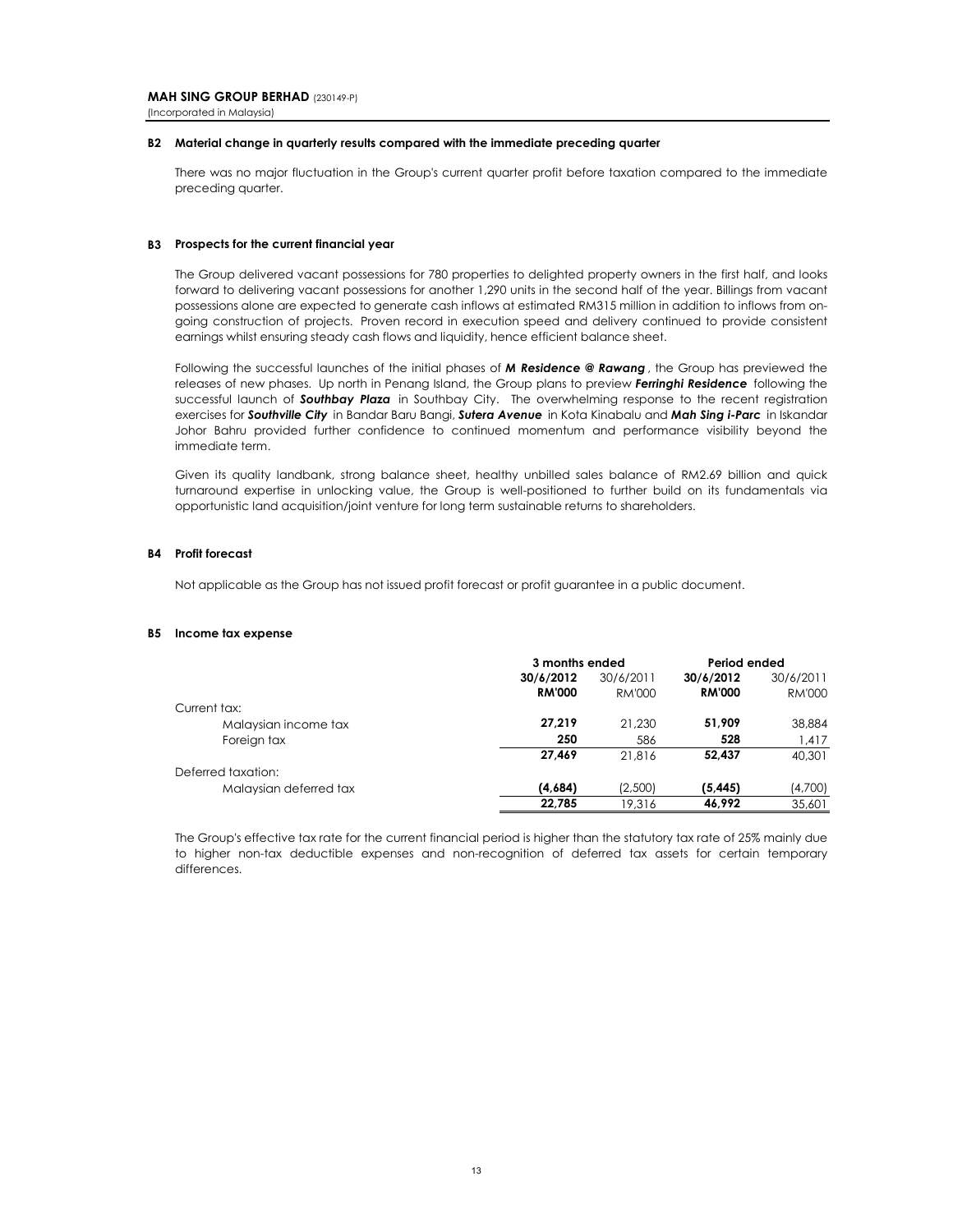# **B2 Material change in quarterly results compared with the immediate preceding quarter**

There was no major fluctuation in the Group's current quarter profit before taxation compared to the immediate preceding quarter.

## **B3 Prospects for the current financial year**

The Group delivered vacant possessions for 780 properties to delighted property owners in the first half, and looks forward to delivering vacant possessions for another 1,290 units in the second half of the year. Billings from vacant possessions alone are expected to generate cash inflows at estimated RM315 million in addition to inflows from ongoing construction of projects. Proven record in execution speed and delivery continued to provide consistent earnings whilst ensuring steady cash flows and liquidity, hence efficient balance sheet.

Following the successful launches of the initial phases of *M Residence @ Rawang* , the Group has previewed the releases of new phases. Up north in Penang Island, the Group plans to preview *Ferringhi Residence* following the successful launch of *Southbay Plaza* in Southbay City. The overwhelming response to the recent registration exercises for *Southville City* in Bandar Baru Bangi, *Sutera Avenue* in Kota Kinabalu and *Mah Sing i-Parc* in Iskandar Johor Bahru provided further confidence to continued momentum and performance visibility beyond the immediate term.

Given its quality landbank, strong balance sheet, healthy unbilled sales balance of RM2.69 billion and quick turnaround expertise in unlocking value, the Group is well-positioned to further build on its fundamentals via opportunistic land acquisition/joint venture for long term sustainable returns to shareholders.

## **B4 Profit forecast**

Not applicable as the Group has not issued profit forecast or profit guarantee in a public document.

#### **B5 Income tax expense**

|                        | 3 months ended |           | Period ended  |               |
|------------------------|----------------|-----------|---------------|---------------|
|                        | 30/6/2012      | 30/6/2011 | 30/6/2012     | 30/6/2011     |
|                        | <b>RM'000</b>  | RM'000    | <b>RM'000</b> | <b>RM'000</b> |
| Current tax:           |                |           |               |               |
| Malaysian income tax   | 27.219         | 21,230    | 51,909        | 38,884        |
| Foreign tax            | 250            | 586       | 528           | 1,417         |
|                        | 27.469         | 21.816    | 52.437        | 40.301        |
| Deferred taxation:     |                |           |               |               |
| Malaysian deferred tax | (4,684)        | (2,500)   | (5, 445)      | (4,700)       |
|                        | 22.785         | 19,316    | 46.992        | 35,601        |

The Group's effective tax rate for the current financial period is higher than the statutory tax rate of 25% mainly due to higher non-tax deductible expenses and non-recognition of deferred tax assets for certain temporary differences.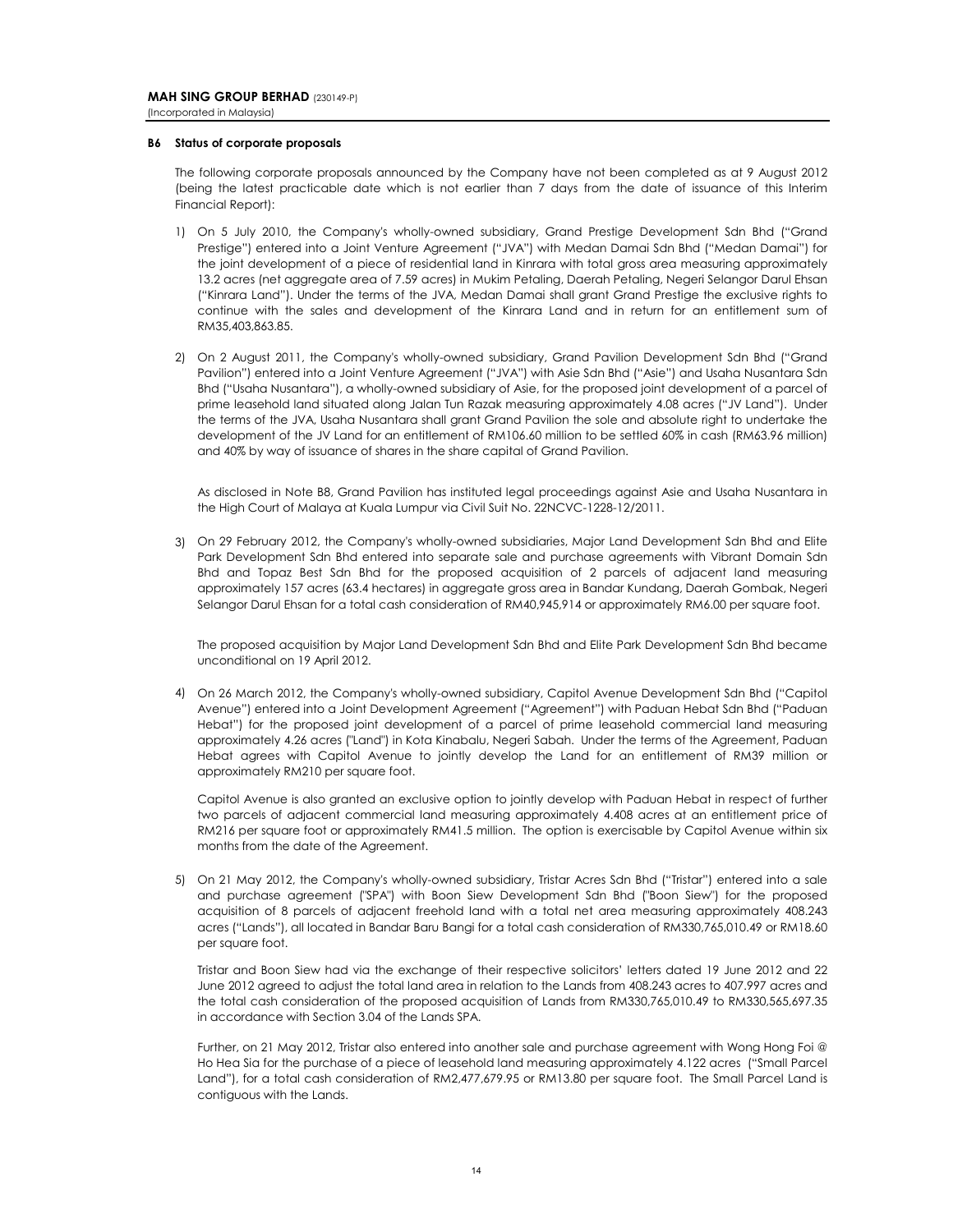#### **B6 Status of corporate proposals**

The following corporate proposals announced by the Company have not been completed as at 9 August 2012 (being the latest practicable date which is not earlier than 7 days from the date of issuance of this Interim Financial Report):

- 1) On 5 July 2010, the Company's wholly-owned subsidiary, Grand Prestige Development Sdn Bhd ("Grand Prestige") entered into a Joint Venture Agreement ("JVA") with Medan Damai Sdn Bhd ("Medan Damai") for the joint development of a piece of residential land in Kinrara with total gross area measuring approximately 13.2 acres (net aggregate area of 7.59 acres) in Mukim Petaling, Daerah Petaling, Negeri Selangor Darul Ehsan ("Kinrara Land"). Under the terms of the JVA, Medan Damai shall grant Grand Prestige the exclusive rights to continue with the sales and development of the Kinrara Land and in return for an entitlement sum of RM35,403,863.85.
- 2) On 2 August 2011, the Company's wholly-owned subsidiary, Grand Pavilion Development Sdn Bhd ("Grand Pavilion") entered into a Joint Venture Agreement ("JVA") with Asie Sdn Bhd ("Asie") and Usaha Nusantara Sdn Bhd ("Usaha Nusantara"), a wholly-owned subsidiary of Asie, for the proposed joint development of a parcel of prime leasehold land situated along Jalan Tun Razak measuring approximately 4.08 acres ("JV Land"). Under the terms of the JVA, Usaha Nusantara shall grant Grand Pavilion the sole and absolute right to undertake the development of the JV Land for an entitlement of RM106.60 million to be settled 60% in cash (RM63.96 million) and 40% by way of issuance of shares in the share capital of Grand Pavilion.

As disclosed in Note B8, Grand Pavilion has instituted legal proceedings against Asie and Usaha Nusantara in the High Court of Malaya at Kuala Lumpur via Civil Suit No. 22NCVC-1228-12/2011.

3) On 29 February 2012, the Company's wholly-owned subsidiaries, Major Land Development Sdn Bhd and Elite Park Development Sdn Bhd entered into separate sale and purchase agreements with Vibrant Domain Sdn Bhd and Topaz Best Sdn Bhd for the proposed acquisition of 2 parcels of adjacent land measuring approximately 157 acres (63.4 hectares) in aggregate gross area in Bandar Kundang, Daerah Gombak, Negeri Selangor Darul Ehsan for a total cash consideration of RM40,945,914 or approximately RM6.00 per square foot.

The proposed acquisition by Major Land Development Sdn Bhd and Elite Park Development Sdn Bhd became unconditional on 19 April 2012.

4) On 26 March 2012, the Company's wholly-owned subsidiary, Capitol Avenue Development Sdn Bhd ("Capitol Avenue") entered into a Joint Development Agreement ("Agreement") with Paduan Hebat Sdn Bhd ("Paduan Hebat") for the proposed joint development of a parcel of prime leasehold commercial land measuring approximately 4.26 acres ("Land") in Kota Kinabalu, Negeri Sabah. Under the terms of the Agreement, Paduan Hebat agrees with Capitol Avenue to jointly develop the Land for an entitlement of RM39 million or approximately RM210 per square foot.

Capitol Avenue is also granted an exclusive option to jointly develop with Paduan Hebat in respect of further two parcels of adjacent commercial land measuring approximately 4.408 acres at an entitlement price of RM216 per square foot or approximately RM41.5 million. The option is exercisable by Capitol Avenue within six months from the date of the Agreement.

5) On 21 May 2012, the Company's wholly-owned subsidiary, Tristar Acres Sdn Bhd ("Tristar") entered into a sale and purchase agreement ("SPA") with Boon Siew Development Sdn Bhd ("Boon Siew") for the proposed acquisition of 8 parcels of adjacent freehold land with a total net area measuring approximately 408.243 acres ("Lands"), all located in Bandar Baru Bangi for a total cash consideration of RM330,765,010.49 or RM18.60 per square foot.

Tristar and Boon Siew had via the exchange of their respective solicitors' letters dated 19 June 2012 and 22 June 2012 agreed to adjust the total land area in relation to the Lands from 408.243 acres to 407.997 acres and the total cash consideration of the proposed acquisition of Lands from RM330,765,010.49 to RM330,565,697.35 in accordance with Section 3.04 of the Lands SPA.

Further, on 21 May 2012, Tristar also entered into another sale and purchase agreement with Wong Hong Foi @ Ho Hea Sia for the purchase of a piece of leasehold land measuring approximately 4.122 acres ("Small Parcel Land"), for a total cash consideration of RM2,477,679.95 or RM13.80 per square foot. The Small Parcel Land is contiguous with the Lands.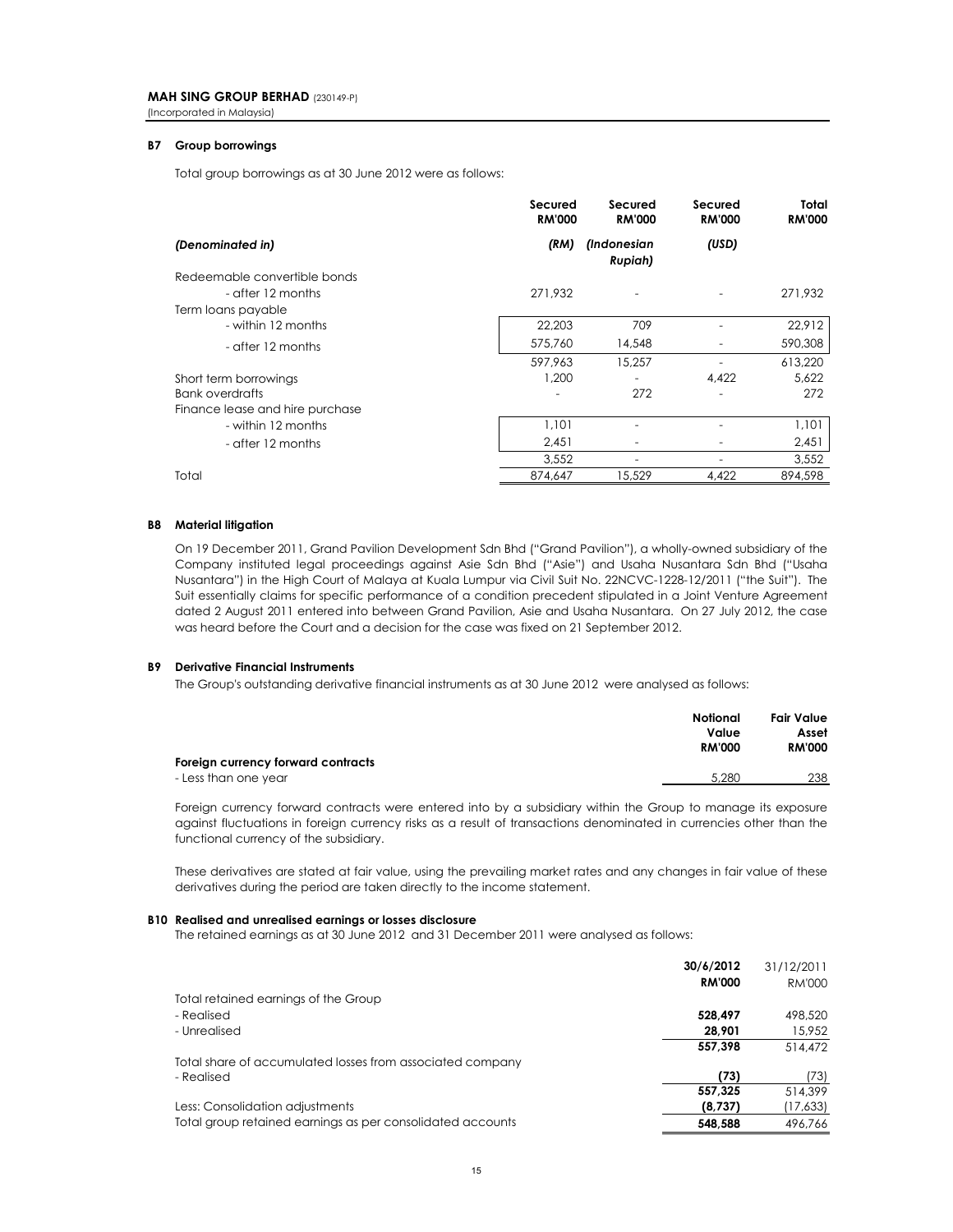(Incorporated in Malaysia)

#### **B7 Group borrowings**

Total group borrowings as at 30 June 2012 were as follows:

|                                 | Secured<br><b>RM'000</b> | Secured<br><b>RM'000</b> | Secured<br><b>RM'000</b> | Total<br><b>RM'000</b> |
|---------------------------------|--------------------------|--------------------------|--------------------------|------------------------|
| (Denominated in)                | (RM)                     | (Indonesian<br>Rupiah)   | (USD)                    |                        |
| Redeemable convertible bonds    |                          |                          |                          |                        |
| - after 12 months               | 271.932                  |                          |                          | 271,932                |
| Term loans payable              |                          |                          |                          |                        |
| - within 12 months              | 22,203                   | 709                      |                          | 22,912                 |
| - after 12 months               | 575,760                  | 14,548                   |                          | 590,308                |
|                                 | 597,963                  | 15,257                   |                          | 613,220                |
| Short term borrowings           | 1,200                    |                          | 4,422                    | 5,622                  |
| <b>Bank overdrafts</b>          |                          | 272                      |                          | 272                    |
| Finance lease and hire purchase |                          |                          |                          |                        |
| - within 12 months              | 1,101                    |                          |                          | 1,101                  |
| - after 12 months               | 2,451                    |                          |                          | 2,451                  |
|                                 | 3.552                    |                          |                          | 3,552                  |
| Total                           | 874,647                  | 15,529                   | 4.422                    | 894,598                |

#### **B8 Material litigation**

On 19 December 2011, Grand Pavilion Development Sdn Bhd ("Grand Pavilion"), a wholly-owned subsidiary of the Company instituted legal proceedings against Asie Sdn Bhd ("Asie") and Usaha Nusantara Sdn Bhd ("Usaha Nusantara") in the High Court of Malaya at Kuala Lumpur via Civil Suit No. 22NCVC-1228-12/2011 ("the Suit"). The Suit essentially claims for specific performance of a condition precedent stipulated in a Joint Venture Agreement dated 2 August 2011 entered into between Grand Pavilion, Asie and Usaha Nusantara. On 27 July 2012, the case was heard before the Court and a decision for the case was fixed on 21 September 2012.

#### **B9 Derivative Financial Instruments**

The Group's outstanding derivative financial instruments as at 30 June 2012 were analysed as follows:

|                                    | Notional<br>Value<br><b>RM'000</b> | Fair Value<br>Asset<br><b>RM'000</b> |
|------------------------------------|------------------------------------|--------------------------------------|
| Foreign currency forward contracts |                                    |                                      |
| - Less than one year               | 5.280                              | 238                                  |

Foreign currency forward contracts were entered into by a subsidiary within the Group to manage its exposure against fluctuations in foreign currency risks as a result of transactions denominated in currencies other than the functional currency of the subsidiary.

These derivatives are stated at fair value, using the prevailing market rates and any changes in fair value of these derivatives during the period are taken directly to the income statement.

#### **B10 Realised and unrealised earnings or losses disclosure**

The retained earnings as at 30 June 2012 and 31 December 2011 were analysed as follows:

|                                                            | 30/6/2012     | 31/12/2011    |
|------------------------------------------------------------|---------------|---------------|
|                                                            | <b>RM'000</b> | <b>RM'000</b> |
| Total retained earnings of the Group                       |               |               |
| - Realised                                                 | 528.497       | 498,520       |
| - Unrealised                                               | 28.901        | 15.952        |
|                                                            | 557.398       | 514.472       |
| Total share of accumulated losses from associated company  |               |               |
| - Realised                                                 | (73)          | (73)          |
|                                                            | 557.325       | 514.399       |
| Less: Consolidation adjustments                            | (8,737)       | (17,633)      |
| Total group retained earnings as per consolidated accounts | 548.588       | 496.766       |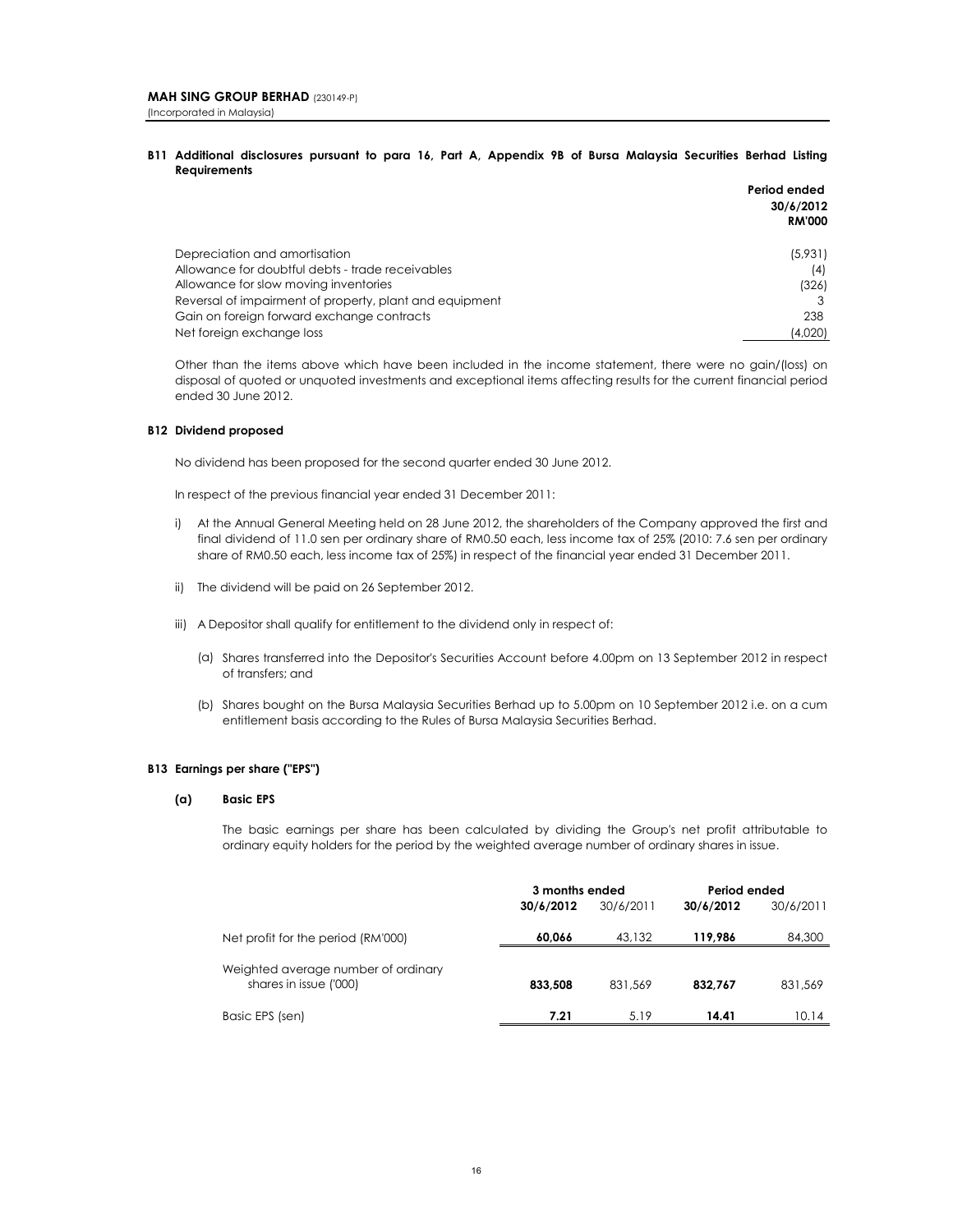**B11 Additional disclosures pursuant to para 16, Part A, Appendix 9B of Bursa Malaysia Securities Berhad Listing Requirements**

|                                                         | Period ended  |
|---------------------------------------------------------|---------------|
|                                                         | 30/6/2012     |
|                                                         | <b>RM'000</b> |
| Depreciation and amortisation                           | (5,931)       |
| Allowance for doubtful debts - trade receivables        | (4)           |
| Allowance for slow moving inventories                   | (326)         |
| Reversal of impairment of property, plant and equipment |               |
| Gain on foreign forward exchange contracts              | 238           |
| Net foreign exchange loss                               | (4,020)       |

Other than the items above which have been included in the income statement, there were no gain/(loss) on disposal of quoted or unquoted investments and exceptional items affecting results for the current financial period ended 30 June 2012.

#### **B12 Dividend proposed**

No dividend has been proposed for the second quarter ended 30 June 2012.

In respect of the previous financial year ended 31 December 2011:

- i) At the Annual General Meeting held on 28 June 2012, the shareholders of the Company approved the first and final dividend of 11.0 sen per ordinary share of RM0.50 each, less income tax of 25% (2010: 7.6 sen per ordinary share of RM0.50 each, less income tax of 25%) in respect of the financial year ended 31 December 2011.
- ii) The dividend will be paid on 26 September 2012.
- iii) A Depositor shall qualify for entitlement to the dividend only in respect of:
	- (a) Shares transferred into the Depositor's Securities Account before 4.00pm on 13 September 2012 in respect of transfers; and
	- (b) Shares bought on the Bursa Malaysia Securities Berhad up to 5.00pm on 10 September 2012 i.e. on a cum entitlement basis according to the Rules of Bursa Malaysia Securities Berhad.

### **B13 Earnings per share ("EPS")**

#### **(a) Basic EPS**

The basic earnings per share has been calculated by dividing the Group's net profit attributable to ordinary equity holders for the period by the weighted average number of ordinary shares in issue.

|                                                               | 3 months ended |           | Period ended |           |
|---------------------------------------------------------------|----------------|-----------|--------------|-----------|
|                                                               | 30/6/2012      | 30/6/2011 | 30/6/2012    | 30/6/2011 |
| Net profit for the period (RM'000)                            | 60.066         | 43.132    | 119.986      | 84,300    |
| Weighted average number of ordinary<br>shares in issue ('000) | 833,508        | 831.569   | 832.767      | 831.569   |
| Basic EPS (sen)                                               | 7.21           | 5.19      | 14.41        | 10.14     |